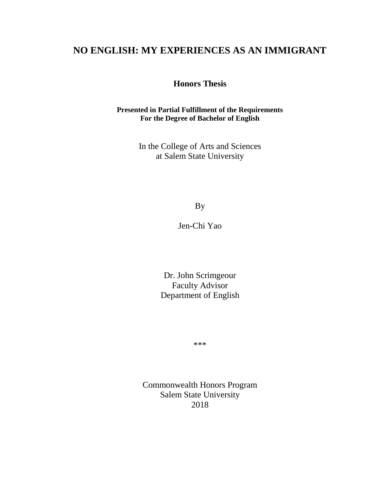# **NO ENGLISH: MY EXPERIENCES AS AN IMMIGRANT**

**Honors Thesis**

**Presented in Partial Fulfillment of the Requirements For the Degree of Bachelor of English**

> In the College of Arts and Sciences at Salem State University

> > By

Jen-Chi Yao

Dr. John Scrimgeour Faculty Advisor Department of English

\*\*\*

Commonwealth Honors Program Salem State University 2018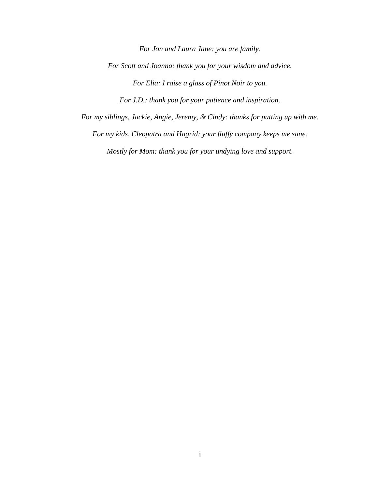*For Jon and Laura Jane: you are family. For Scott and Joanna: thank you for your wisdom and advice. For Elia: I raise a glass of Pinot Noir to you.*

*For J.D.: thank you for your patience and inspiration.*

*For my siblings, Jackie, Angie, Jeremy, & Cindy: thanks for putting up with me.*

*For my kids, Cleopatra and Hagrid: your fluffy company keeps me sane.*

*Mostly for Mom: thank you for your undying love and support.*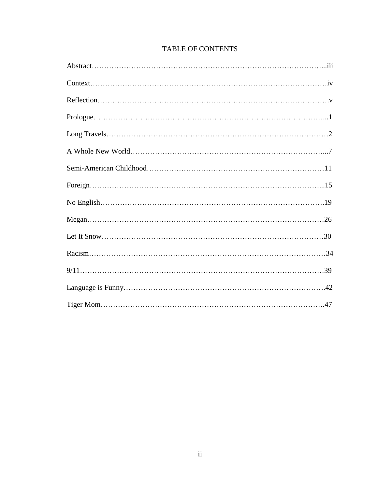## TABLE OF CONTENTS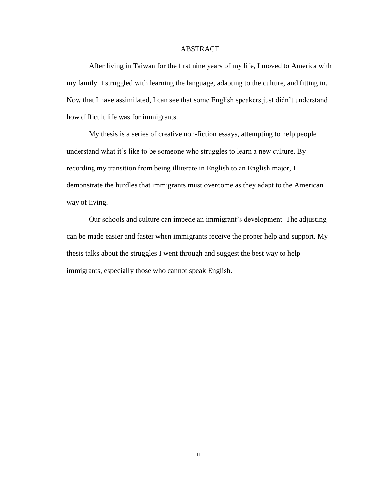## ABSTRACT

After living in Taiwan for the first nine years of my life, I moved to America with my family. I struggled with learning the language, adapting to the culture, and fitting in. Now that I have assimilated, I can see that some English speakers just didn't understand how difficult life was for immigrants.

My thesis is a series of creative non-fiction essays, attempting to help people understand what it's like to be someone who struggles to learn a new culture. By recording my transition from being illiterate in English to an English major, I demonstrate the hurdles that immigrants must overcome as they adapt to the American way of living.

Our schools and culture can impede an immigrant's development. The adjusting can be made easier and faster when immigrants receive the proper help and support. My thesis talks about the struggles I went through and suggest the best way to help immigrants, especially those who cannot speak English.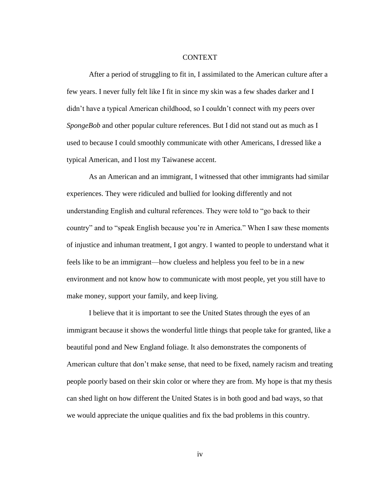## **CONTEXT**

After a period of struggling to fit in, I assimilated to the American culture after a few years. I never fully felt like I fit in since my skin was a few shades darker and I didn't have a typical American childhood, so I couldn't connect with my peers over *SpongeBob* and other popular culture references. But I did not stand out as much as I used to because I could smoothly communicate with other Americans, I dressed like a typical American, and I lost my Taiwanese accent.

As an American and an immigrant, I witnessed that other immigrants had similar experiences. They were ridiculed and bullied for looking differently and not understanding English and cultural references. They were told to "go back to their country" and to "speak English because you're in America." When I saw these moments of injustice and inhuman treatment, I got angry. I wanted to people to understand what it feels like to be an immigrant—how clueless and helpless you feel to be in a new environment and not know how to communicate with most people, yet you still have to make money, support your family, and keep living.

I believe that it is important to see the United States through the eyes of an immigrant because it shows the wonderful little things that people take for granted, like a beautiful pond and New England foliage. It also demonstrates the components of American culture that don't make sense, that need to be fixed, namely racism and treating people poorly based on their skin color or where they are from. My hope is that my thesis can shed light on how different the United States is in both good and bad ways, so that we would appreciate the unique qualities and fix the bad problems in this country.

iv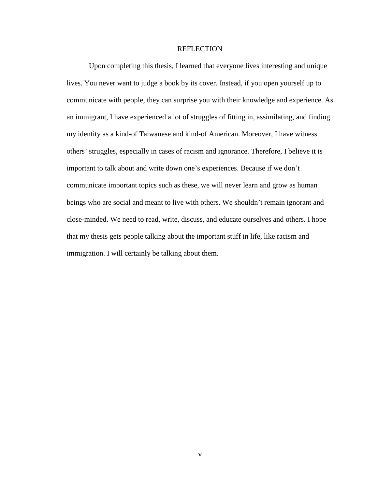## **REFLECTION**

Upon completing this thesis, I learned that everyone lives interesting and unique lives. You never want to judge a book by its cover. Instead, if you open yourself up to communicate with people, they can surprise you with their knowledge and experience. As an immigrant, I have experienced a lot of struggles of fitting in, assimilating, and finding my identity as a kind-of Taiwanese and kind-of American. Moreover, I have witness others' struggles, especially in cases of racism and ignorance. Therefore, I believe it is important to talk about and write down one's experiences. Because if we don't communicate important topics such as these, we will never learn and grow as human beings who are social and meant to live with others. We shouldn't remain ignorant and close-minded. We need to read, write, discuss, and educate ourselves and others. I hope that my thesis gets people talking about the important stuff in life, like racism and immigration. I will certainly be talking about them.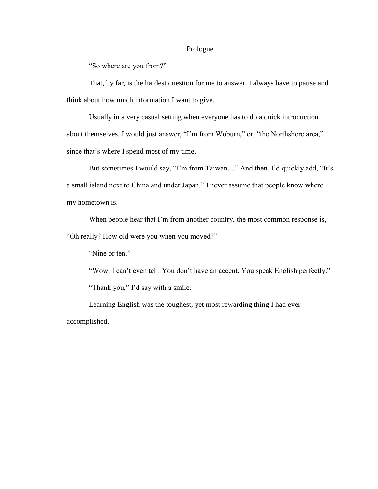#### Prologue

"So where are you from?"

That, by far, is the hardest question for me to answer. I always have to pause and think about how much information I want to give.

Usually in a very casual setting when everyone has to do a quick introduction about themselves, I would just answer, "I'm from Woburn," or, "the Northshore area," since that's where I spend most of my time.

But sometimes I would say, "I'm from Taiwan…" And then, I'd quickly add, "It's a small island next to China and under Japan." I never assume that people know where my hometown is.

When people hear that I'm from another country, the most common response is, "Oh really? How old were you when you moved?"

"Nine or ten."

"Wow, I can't even tell. You don't have an accent. You speak English perfectly." "Thank you," I'd say with a smile.

Learning English was the toughest, yet most rewarding thing I had ever accomplished.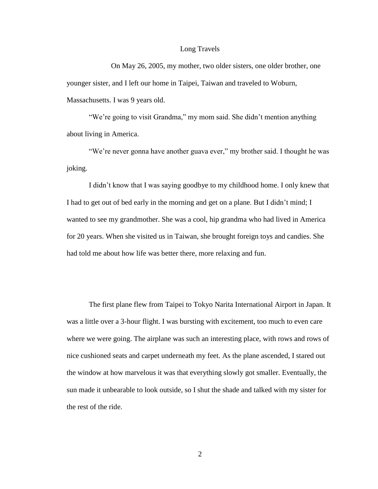## Long Travels

On May 26, 2005, my mother, two older sisters, one older brother, one younger sister, and I left our home in Taipei, Taiwan and traveled to Woburn, Massachusetts. I was 9 years old.

"We're going to visit Grandma," my mom said. She didn't mention anything about living in America.

"We're never gonna have another guava ever," my brother said. I thought he was joking.

I didn't know that I was saying goodbye to my childhood home. I only knew that I had to get out of bed early in the morning and get on a plane. But I didn't mind; I wanted to see my grandmother. She was a cool, hip grandma who had lived in America for 20 years. When she visited us in Taiwan, she brought foreign toys and candies. She had told me about how life was better there, more relaxing and fun.

The first plane flew from Taipei to Tokyo Narita International Airport in Japan. It was a little over a 3-hour flight. I was bursting with excitement, too much to even care where we were going. The airplane was such an interesting place, with rows and rows of nice cushioned seats and carpet underneath my feet. As the plane ascended, I stared out the window at how marvelous it was that everything slowly got smaller. Eventually, the sun made it unbearable to look outside, so I shut the shade and talked with my sister for the rest of the ride.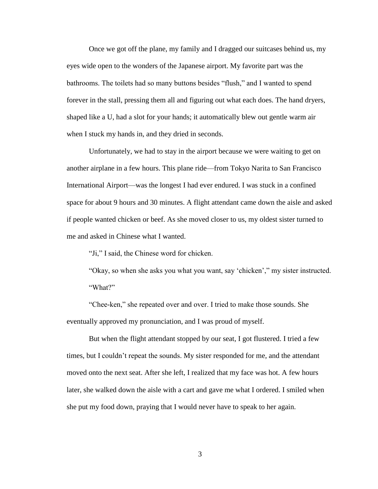Once we got off the plane, my family and I dragged our suitcases behind us, my eyes wide open to the wonders of the Japanese airport. My favorite part was the bathrooms. The toilets had so many buttons besides "flush," and I wanted to spend forever in the stall, pressing them all and figuring out what each does. The hand dryers, shaped like a U, had a slot for your hands; it automatically blew out gentle warm air when I stuck my hands in, and they dried in seconds.

Unfortunately, we had to stay in the airport because we were waiting to get on another airplane in a few hours. This plane ride—from Tokyo Narita to San Francisco International Airport—was the longest I had ever endured. I was stuck in a confined space for about 9 hours and 30 minutes. A flight attendant came down the aisle and asked if people wanted chicken or beef. As she moved closer to us, my oldest sister turned to me and asked in Chinese what I wanted.

"Ji," I said, the Chinese word for chicken.

"Okay, so when she asks you what you want, say 'chicken'," my sister instructed. "What?"

"Chee-ken," she repeated over and over. I tried to make those sounds. She eventually approved my pronunciation, and I was proud of myself.

But when the flight attendant stopped by our seat, I got flustered. I tried a few times, but I couldn't repeat the sounds. My sister responded for me, and the attendant moved onto the next seat. After she left, I realized that my face was hot. A few hours later, she walked down the aisle with a cart and gave me what I ordered. I smiled when she put my food down, praying that I would never have to speak to her again.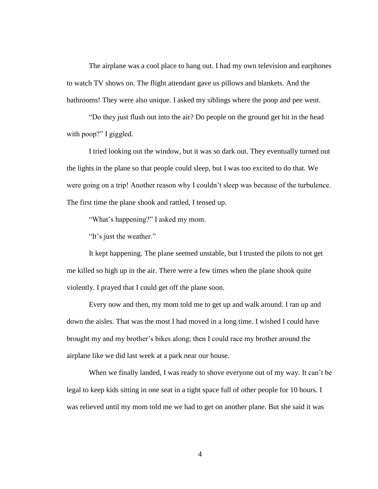The airplane was a cool place to hang out. I had my own television and earphones to watch TV shows on. The flight attendant gave us pillows and blankets. And the bathrooms! They were also unique. I asked my siblings where the poop and pee went.

"Do they just flush out into the air? Do people on the ground get hit in the head with poop?" I giggled.

I tried looking out the window, but it was so dark out. They eventually turned out the lights in the plane so that people could sleep, but I was too excited to do that. We were going on a trip! Another reason why I couldn't sleep was because of the turbulence. The first time the plane shook and rattled, I tensed up.

"What's happening?" I asked my mom.

"It's just the weather."

It kept happening. The plane seemed unstable, but I trusted the pilots to not get me killed so high up in the air. There were a few times when the plane shook quite violently. I prayed that I could get off the plane soon.

Every now and then, my mom told me to get up and walk around. I ran up and down the aisles. That was the most I had moved in a long time. I wished I could have brought my and my brother's bikes along; then I could race my brother around the airplane like we did last week at a park near our house.

When we finally landed, I was ready to shove everyone out of my way. It can't be legal to keep kids sitting in one seat in a tight space full of other people for 10 hours. I was relieved until my mom told me we had to get on another plane. But she said it was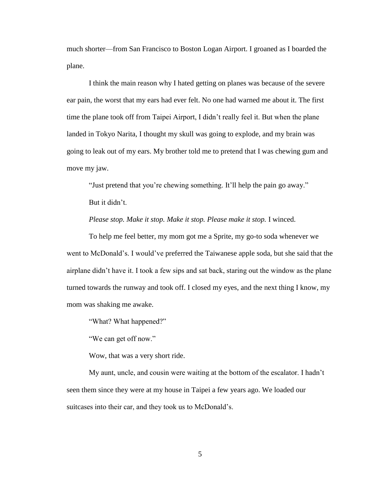much shorter—from San Francisco to Boston Logan Airport. I groaned as I boarded the plane.

I think the main reason why I hated getting on planes was because of the severe ear pain, the worst that my ears had ever felt. No one had warned me about it. The first time the plane took off from Taipei Airport, I didn't really feel it. But when the plane landed in Tokyo Narita, I thought my skull was going to explode, and my brain was going to leak out of my ears. My brother told me to pretend that I was chewing gum and move my jaw.

"Just pretend that you're chewing something. It'll help the pain go away." But it didn't.

*Please stop. Make it stop. Make it stop. Please make it stop.* I winced.

To help me feel better, my mom got me a Sprite, my go-to soda whenever we went to McDonald's. I would've preferred the Taiwanese apple soda, but she said that the airplane didn't have it. I took a few sips and sat back, staring out the window as the plane turned towards the runway and took off. I closed my eyes, and the next thing I know, my mom was shaking me awake.

"What? What happened?"

"We can get off now."

Wow, that was a very short ride.

My aunt, uncle, and cousin were waiting at the bottom of the escalator. I hadn't seen them since they were at my house in Taipei a few years ago. We loaded our suitcases into their car, and they took us to McDonald's.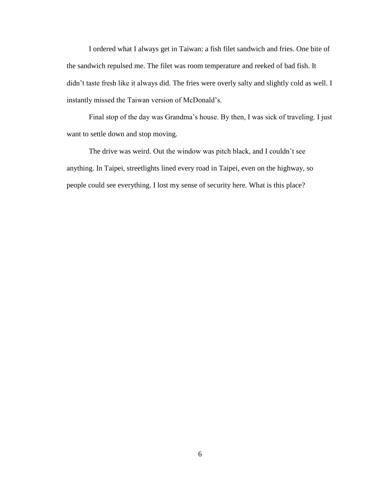I ordered what I always get in Taiwan: a fish filet sandwich and fries. One bite of the sandwich repulsed me. The filet was room temperature and reeked of bad fish. It didn't taste fresh like it always did. The fries were overly salty and slightly cold as well. I instantly missed the Taiwan version of McDonald's.

Final stop of the day was Grandma's house. By then, I was sick of traveling. I just want to settle down and stop moving.

The drive was weird. Out the window was pitch black, and I couldn't see anything. In Taipei, streetlights lined every road in Taipei, even on the highway, so people could see everything. I lost my sense of security here. What is this place?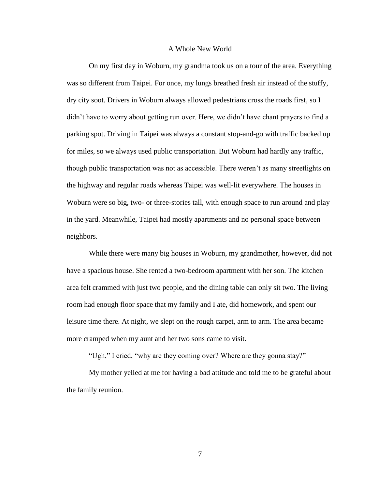## A Whole New World

On my first day in Woburn, my grandma took us on a tour of the area. Everything was so different from Taipei. For once, my lungs breathed fresh air instead of the stuffy, dry city soot. Drivers in Woburn always allowed pedestrians cross the roads first, so I didn't have to worry about getting run over. Here, we didn't have chant prayers to find a parking spot. Driving in Taipei was always a constant stop-and-go with traffic backed up for miles, so we always used public transportation. But Woburn had hardly any traffic, though public transportation was not as accessible. There weren't as many streetlights on the highway and regular roads whereas Taipei was well-lit everywhere. The houses in Woburn were so big, two- or three-stories tall, with enough space to run around and play in the yard. Meanwhile, Taipei had mostly apartments and no personal space between neighbors.

While there were many big houses in Woburn, my grandmother, however, did not have a spacious house. She rented a two-bedroom apartment with her son. The kitchen area felt crammed with just two people, and the dining table can only sit two. The living room had enough floor space that my family and I ate, did homework, and spent our leisure time there. At night, we slept on the rough carpet, arm to arm. The area became more cramped when my aunt and her two sons came to visit.

"Ugh," I cried, "why are they coming over? Where are they gonna stay?"

My mother yelled at me for having a bad attitude and told me to be grateful about the family reunion.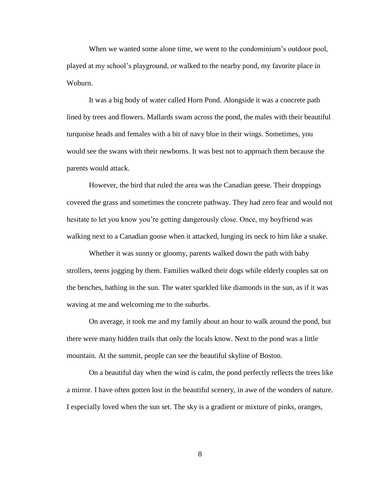When we wanted some alone time, we went to the condominium's outdoor pool, played at my school's playground, or walked to the nearby pond, my favorite place in Woburn.

It was a big body of water called Horn Pond. Alongside it was a concrete path lined by trees and flowers. Mallards swam across the pond, the males with their beautiful turquoise heads and females with a bit of navy blue in their wings. Sometimes, you would see the swans with their newborns. It was best not to approach them because the parents would attack.

However, the bird that ruled the area was the Canadian geese. Their droppings covered the grass and sometimes the concrete pathway. They had zero fear and would not hesitate to let you know you're getting dangerously close. Once, my boyfriend was walking next to a Canadian goose when it attacked, lunging its neck to him like a snake.

Whether it was sunny or gloomy, parents walked down the path with baby strollers, teens jogging by them. Families walked their dogs while elderly couples sat on the benches, bathing in the sun. The water sparkled like diamonds in the sun, as if it was waving at me and welcoming me to the suburbs.

On average, it took me and my family about an hour to walk around the pond, but there were many hidden trails that only the locals know. Next to the pond was a little mountain. At the summit, people can see the beautiful skyline of Boston.

On a beautiful day when the wind is calm, the pond perfectly reflects the trees like a mirror. I have often gotten lost in the beautiful scenery, in awe of the wonders of nature. I especially loved when the sun set. The sky is a gradient or mixture of pinks, oranges,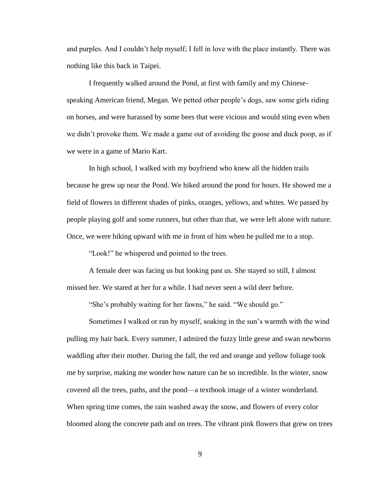and purples. And I couldn't help myself; I fell in love with the place instantly. There was nothing like this back in Taipei.

I frequently walked around the Pond, at first with family and my Chinesespeaking American friend, Megan. We petted other people's dogs, saw some girls riding on horses, and were harassed by some bees that were vicious and would sting even when we didn't provoke them. We made a game out of avoiding the goose and duck poop, as if we were in a game of Mario Kart.

In high school, I walked with my boyfriend who knew all the hidden trails because he grew up near the Pond. We hiked around the pond for hours. He showed me a field of flowers in different shades of pinks, oranges, yellows, and whites. We passed by people playing golf and some runners, but other than that, we were left alone with nature. Once, we were hiking upward with me in front of him when he pulled me to a stop.

"Look!" he whispered and pointed to the trees.

A female deer was facing us but looking past us. She stayed so still, I almost missed her. We stared at her for a while. I had never seen a wild deer before.

"She's probably waiting for her fawns," he said. "We should go."

Sometimes I walked or ran by myself, soaking in the sun's warmth with the wind pulling my hair back. Every summer, I admired the fuzzy little geese and swan newborns waddling after their mother. During the fall, the red and orange and yellow foliage took me by surprise, making me wonder how nature can be so incredible. In the winter, snow covered all the trees, paths, and the pond—a textbook image of a winter wonderland. When spring time comes, the rain washed away the snow, and flowers of every color bloomed along the concrete path and on trees. The vibrant pink flowers that grew on trees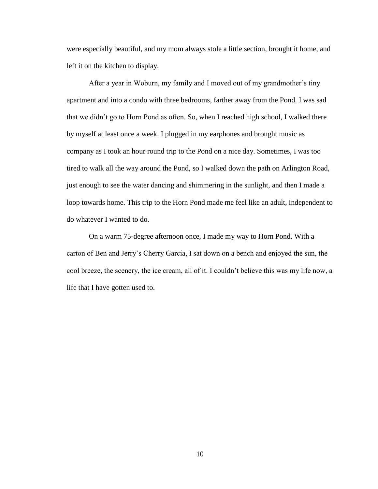were especially beautiful, and my mom always stole a little section, brought it home, and left it on the kitchen to display.

After a year in Woburn, my family and I moved out of my grandmother's tiny apartment and into a condo with three bedrooms, farther away from the Pond. I was sad that we didn't go to Horn Pond as often. So, when I reached high school, I walked there by myself at least once a week. I plugged in my earphones and brought music as company as I took an hour round trip to the Pond on a nice day. Sometimes, I was too tired to walk all the way around the Pond, so I walked down the path on Arlington Road, just enough to see the water dancing and shimmering in the sunlight, and then I made a loop towards home. This trip to the Horn Pond made me feel like an adult, independent to do whatever I wanted to do.

On a warm 75-degree afternoon once, I made my way to Horn Pond. With a carton of Ben and Jerry's Cherry Garcia, I sat down on a bench and enjoyed the sun, the cool breeze, the scenery, the ice cream, all of it. I couldn't believe this was my life now, a life that I have gotten used to.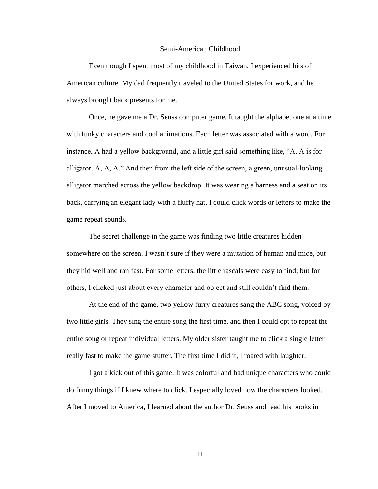## Semi-American Childhood

Even though I spent most of my childhood in Taiwan, I experienced bits of American culture. My dad frequently traveled to the United States for work, and he always brought back presents for me.

Once, he gave me a Dr. Seuss computer game. It taught the alphabet one at a time with funky characters and cool animations. Each letter was associated with a word. For instance, A had a yellow background, and a little girl said something like, "A. A is for alligator. A, A, A." And then from the left side of the screen, a green, unusual-looking alligator marched across the yellow backdrop. It was wearing a harness and a seat on its back, carrying an elegant lady with a fluffy hat. I could click words or letters to make the game repeat sounds.

The secret challenge in the game was finding two little creatures hidden somewhere on the screen. I wasn't sure if they were a mutation of human and mice, but they hid well and ran fast. For some letters, the little rascals were easy to find; but for others, I clicked just about every character and object and still couldn't find them.

At the end of the game, two yellow furry creatures sang the ABC song, voiced by two little girls. They sing the entire song the first time, and then I could opt to repeat the entire song or repeat individual letters. My older sister taught me to click a single letter really fast to make the game stutter. The first time I did it, I roared with laughter.

I got a kick out of this game. It was colorful and had unique characters who could do funny things if I knew where to click. I especially loved how the characters looked. After I moved to America, I learned about the author Dr. Seuss and read his books in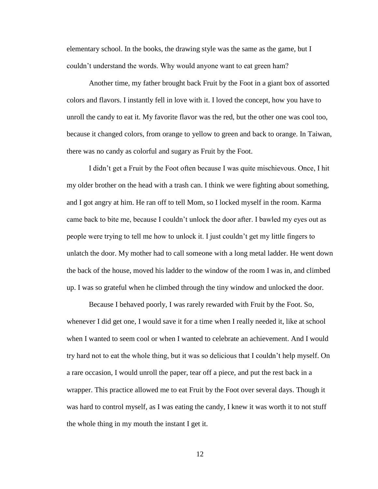elementary school. In the books, the drawing style was the same as the game, but I couldn't understand the words. Why would anyone want to eat green ham?

Another time, my father brought back Fruit by the Foot in a giant box of assorted colors and flavors. I instantly fell in love with it. I loved the concept, how you have to unroll the candy to eat it. My favorite flavor was the red, but the other one was cool too, because it changed colors, from orange to yellow to green and back to orange. In Taiwan, there was no candy as colorful and sugary as Fruit by the Foot.

I didn't get a Fruit by the Foot often because I was quite mischievous. Once, I hit my older brother on the head with a trash can. I think we were fighting about something, and I got angry at him. He ran off to tell Mom, so I locked myself in the room. Karma came back to bite me, because I couldn't unlock the door after. I bawled my eyes out as people were trying to tell me how to unlock it. I just couldn't get my little fingers to unlatch the door. My mother had to call someone with a long metal ladder. He went down the back of the house, moved his ladder to the window of the room I was in, and climbed up. I was so grateful when he climbed through the tiny window and unlocked the door.

Because I behaved poorly, I was rarely rewarded with Fruit by the Foot. So, whenever I did get one, I would save it for a time when I really needed it, like at school when I wanted to seem cool or when I wanted to celebrate an achievement. And I would try hard not to eat the whole thing, but it was so delicious that I couldn't help myself. On a rare occasion, I would unroll the paper, tear off a piece, and put the rest back in a wrapper. This practice allowed me to eat Fruit by the Foot over several days. Though it was hard to control myself, as I was eating the candy, I knew it was worth it to not stuff the whole thing in my mouth the instant I get it.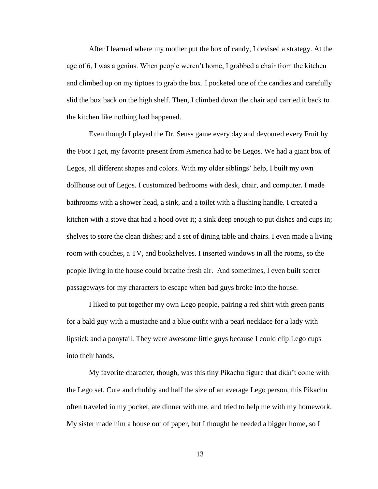After I learned where my mother put the box of candy, I devised a strategy. At the age of 6, I was a genius. When people weren't home, I grabbed a chair from the kitchen and climbed up on my tiptoes to grab the box. I pocketed one of the candies and carefully slid the box back on the high shelf. Then, I climbed down the chair and carried it back to the kitchen like nothing had happened.

Even though I played the Dr. Seuss game every day and devoured every Fruit by the Foot I got, my favorite present from America had to be Legos. We had a giant box of Legos, all different shapes and colors. With my older siblings' help, I built my own dollhouse out of Legos. I customized bedrooms with desk, chair, and computer. I made bathrooms with a shower head, a sink, and a toilet with a flushing handle. I created a kitchen with a stove that had a hood over it; a sink deep enough to put dishes and cups in; shelves to store the clean dishes; and a set of dining table and chairs. I even made a living room with couches, a TV, and bookshelves. I inserted windows in all the rooms, so the people living in the house could breathe fresh air. And sometimes, I even built secret passageways for my characters to escape when bad guys broke into the house.

I liked to put together my own Lego people, pairing a red shirt with green pants for a bald guy with a mustache and a blue outfit with a pearl necklace for a lady with lipstick and a ponytail. They were awesome little guys because I could clip Lego cups into their hands.

My favorite character, though, was this tiny Pikachu figure that didn't come with the Lego set. Cute and chubby and half the size of an average Lego person, this Pikachu often traveled in my pocket, ate dinner with me, and tried to help me with my homework. My sister made him a house out of paper, but I thought he needed a bigger home, so I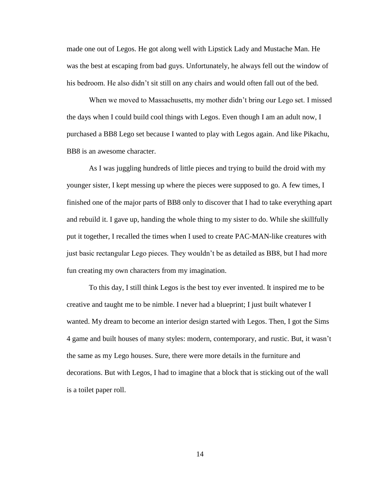made one out of Legos. He got along well with Lipstick Lady and Mustache Man. He was the best at escaping from bad guys. Unfortunately, he always fell out the window of his bedroom. He also didn't sit still on any chairs and would often fall out of the bed.

When we moved to Massachusetts, my mother didn't bring our Lego set. I missed the days when I could build cool things with Legos. Even though I am an adult now, I purchased a BB8 Lego set because I wanted to play with Legos again. And like Pikachu, BB8 is an awesome character.

As I was juggling hundreds of little pieces and trying to build the droid with my younger sister, I kept messing up where the pieces were supposed to go. A few times, I finished one of the major parts of BB8 only to discover that I had to take everything apart and rebuild it. I gave up, handing the whole thing to my sister to do. While she skillfully put it together, I recalled the times when I used to create PAC-MAN-like creatures with just basic rectangular Lego pieces. They wouldn't be as detailed as BB8, but I had more fun creating my own characters from my imagination.

To this day, I still think Legos is the best toy ever invented. It inspired me to be creative and taught me to be nimble. I never had a blueprint; I just built whatever I wanted. My dream to become an interior design started with Legos. Then, I got the Sims 4 game and built houses of many styles: modern, contemporary, and rustic. But, it wasn't the same as my Lego houses. Sure, there were more details in the furniture and decorations. But with Legos, I had to imagine that a block that is sticking out of the wall is a toilet paper roll.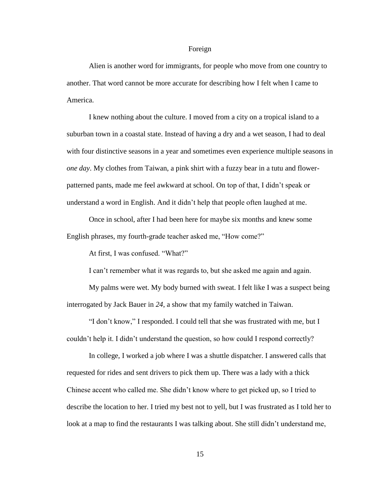#### Foreign

Alien is another word for immigrants, for people who move from one country to another. That word cannot be more accurate for describing how I felt when I came to America.

I knew nothing about the culture. I moved from a city on a tropical island to a suburban town in a coastal state. Instead of having a dry and a wet season, I had to deal with four distinctive seasons in a year and sometimes even experience multiple seasons in *one day*. My clothes from Taiwan, a pink shirt with a fuzzy bear in a tutu and flowerpatterned pants, made me feel awkward at school. On top of that, I didn't speak or understand a word in English. And it didn't help that people often laughed at me.

Once in school, after I had been here for maybe six months and knew some English phrases, my fourth-grade teacher asked me, "How come?"

At first, I was confused. "What?"

I can't remember what it was regards to, but she asked me again and again.

My palms were wet. My body burned with sweat. I felt like I was a suspect being interrogated by Jack Bauer in *24*, a show that my family watched in Taiwan.

"I don't know," I responded. I could tell that she was frustrated with me, but I couldn't help it. I didn't understand the question, so how could I respond correctly?

In college, I worked a job where I was a shuttle dispatcher. I answered calls that requested for rides and sent drivers to pick them up. There was a lady with a thick Chinese accent who called me. She didn't know where to get picked up, so I tried to describe the location to her. I tried my best not to yell, but I was frustrated as I told her to look at a map to find the restaurants I was talking about. She still didn't understand me,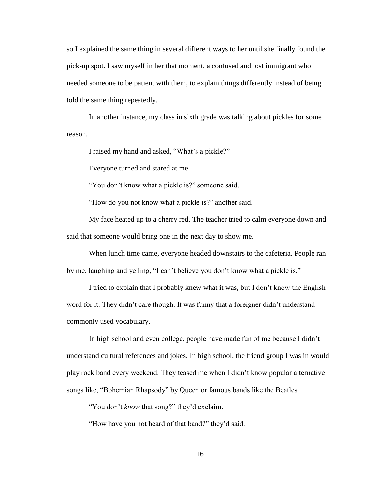so I explained the same thing in several different ways to her until she finally found the pick-up spot. I saw myself in her that moment, a confused and lost immigrant who needed someone to be patient with them, to explain things differently instead of being told the same thing repeatedly.

In another instance, my class in sixth grade was talking about pickles for some reason.

I raised my hand and asked, "What's a pickle?"

Everyone turned and stared at me.

"You don't know what a pickle is?" someone said.

"How do you not know what a pickle is?" another said.

My face heated up to a cherry red. The teacher tried to calm everyone down and said that someone would bring one in the next day to show me.

When lunch time came, everyone headed downstairs to the cafeteria. People ran by me, laughing and yelling, "I can't believe you don't know what a pickle is."

I tried to explain that I probably knew what it was, but I don't know the English word for it. They didn't care though. It was funny that a foreigner didn't understand commonly used vocabulary.

In high school and even college, people have made fun of me because I didn't understand cultural references and jokes. In high school, the friend group I was in would play rock band every weekend. They teased me when I didn't know popular alternative songs like, "Bohemian Rhapsody" by Queen or famous bands like the Beatles.

"You don't *know* that song?" they'd exclaim.

"How have you not heard of that band?" they'd said.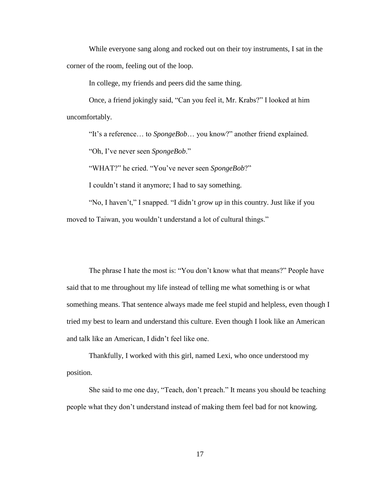While everyone sang along and rocked out on their toy instruments, I sat in the corner of the room, feeling out of the loop.

In college, my friends and peers did the same thing.

Once, a friend jokingly said, "Can you feel it, Mr. Krabs?" I looked at him uncomfortably.

"It's a reference… to *SpongeBob*… you know?" another friend explained.

"Oh, I've never seen *SpongeBob*."

"WHAT?" he cried. "You've never seen *SpongeBob*?"

I couldn't stand it anymore; I had to say something.

"No, I haven't," I snapped. "I didn't *grow up* in this country. Just like if you moved to Taiwan, you wouldn't understand a lot of cultural things."

The phrase I hate the most is: "You don't know what that means?" People have said that to me throughout my life instead of telling me what something is or what something means. That sentence always made me feel stupid and helpless, even though I tried my best to learn and understand this culture. Even though I look like an American and talk like an American, I didn't feel like one.

Thankfully, I worked with this girl, named Lexi, who once understood my position.

She said to me one day, "Teach, don't preach." It means you should be teaching people what they don't understand instead of making them feel bad for not knowing.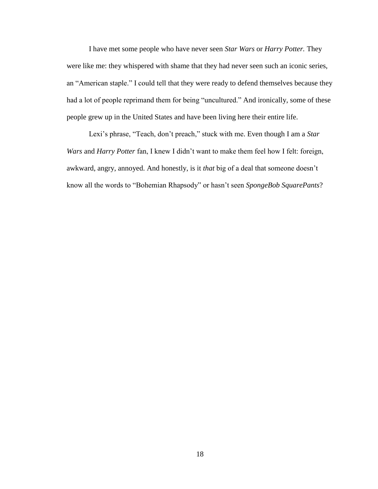I have met some people who have never seen *Star Wars* or *Harry Potter.* They were like me: they whispered with shame that they had never seen such an iconic series, an "American staple." I could tell that they were ready to defend themselves because they had a lot of people reprimand them for being "uncultured." And ironically, some of these people grew up in the United States and have been living here their entire life.

Lexi's phrase, "Teach, don't preach," stuck with me. Even though I am a *Star Wars* and *Harry Potter* fan, I knew I didn't want to make them feel how I felt: foreign, awkward, angry, annoyed. And honestly, is it *that* big of a deal that someone doesn't know all the words to "Bohemian Rhapsody" or hasn't seen *SpongeBob SquarePants*?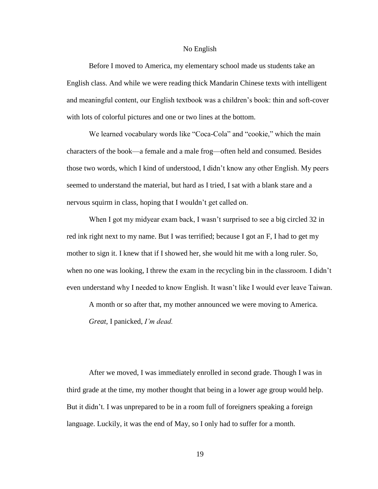#### No English

Before I moved to America, my elementary school made us students take an English class. And while we were reading thick Mandarin Chinese texts with intelligent and meaningful content, our English textbook was a children's book: thin and soft-cover with lots of colorful pictures and one or two lines at the bottom.

We learned vocabulary words like "Coca-Cola" and "cookie," which the main characters of the book—a female and a male frog—often held and consumed. Besides those two words, which I kind of understood, I didn't know any other English. My peers seemed to understand the material, but hard as I tried, I sat with a blank stare and a nervous squirm in class, hoping that I wouldn't get called on.

When I got my midyear exam back, I wasn't surprised to see a big circled 32 in red ink right next to my name. But I was terrified; because I got an F, I had to get my mother to sign it. I knew that if I showed her, she would hit me with a long ruler. So, when no one was looking, I threw the exam in the recycling bin in the classroom. I didn't even understand why I needed to know English. It wasn't like I would ever leave Taiwan.

A month or so after that, my mother announced we were moving to America.

*Great*, I panicked, *I'm dead.*

After we moved, I was immediately enrolled in second grade. Though I was in third grade at the time, my mother thought that being in a lower age group would help. But it didn't. I was unprepared to be in a room full of foreigners speaking a foreign language. Luckily, it was the end of May, so I only had to suffer for a month.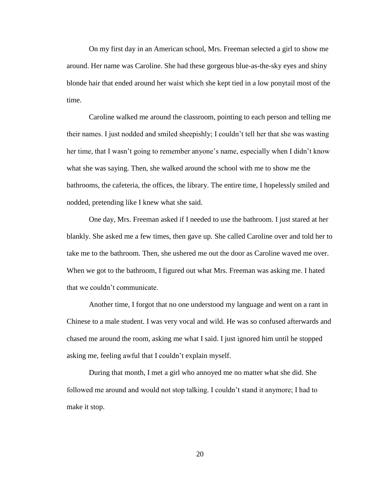On my first day in an American school, Mrs. Freeman selected a girl to show me around. Her name was Caroline. She had these gorgeous blue-as-the-sky eyes and shiny blonde hair that ended around her waist which she kept tied in a low ponytail most of the time.

Caroline walked me around the classroom, pointing to each person and telling me their names. I just nodded and smiled sheepishly; I couldn't tell her that she was wasting her time, that I wasn't going to remember anyone's name, especially when I didn't know what she was saying. Then, she walked around the school with me to show me the bathrooms, the cafeteria, the offices, the library. The entire time, I hopelessly smiled and nodded, pretending like I knew what she said.

One day, Mrs. Freeman asked if I needed to use the bathroom. I just stared at her blankly. She asked me a few times, then gave up. She called Caroline over and told her to take me to the bathroom. Then, she ushered me out the door as Caroline waved me over. When we got to the bathroom, I figured out what Mrs. Freeman was asking me. I hated that we couldn't communicate.

Another time, I forgot that no one understood my language and went on a rant in Chinese to a male student. I was very vocal and wild. He was so confused afterwards and chased me around the room, asking me what I said. I just ignored him until he stopped asking me, feeling awful that I couldn't explain myself.

During that month, I met a girl who annoyed me no matter what she did. She followed me around and would not stop talking. I couldn't stand it anymore; I had to make it stop.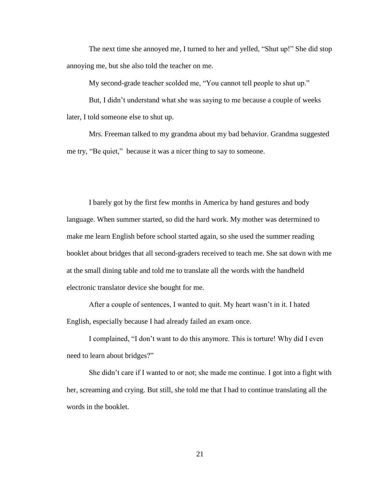The next time she annoyed me, I turned to her and yelled, "Shut up!" She did stop annoying me, but she also told the teacher on me.

My second-grade teacher scolded me, "You cannot tell people to shut up."

But, I didn't understand what she was saying to me because a couple of weeks later, I told someone else to shut up.

Mrs. Freeman talked to my grandma about my bad behavior. Grandma suggested me try, "Be quiet," because it was a nicer thing to say to someone.

I barely got by the first few months in America by hand gestures and body language. When summer started, so did the hard work. My mother was determined to make me learn English before school started again, so she used the summer reading booklet about bridges that all second-graders received to teach me. She sat down with me at the small dining table and told me to translate all the words with the handheld electronic translator device she bought for me.

After a couple of sentences, I wanted to quit. My heart wasn't in it. I hated English, especially because I had already failed an exam once.

I complained, "I don't want to do this anymore. This is torture! Why did I even need to learn about bridges?"

She didn't care if I wanted to or not; she made me continue. I got into a fight with her, screaming and crying. But still, she told me that I had to continue translating all the words in the booklet.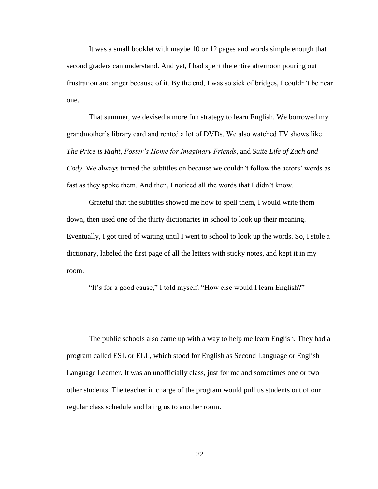It was a small booklet with maybe 10 or 12 pages and words simple enough that second graders can understand. And yet, I had spent the entire afternoon pouring out frustration and anger because of it. By the end, I was so sick of bridges, I couldn't be near one.

That summer, we devised a more fun strategy to learn English. We borrowed my grandmother's library card and rented a lot of DVDs. We also watched TV shows like *The Price is Right*, *Foster's Home for Imaginary Friends*, and *Suite Life of Zach and Cody*. We always turned the subtitles on because we couldn't follow the actors' words as fast as they spoke them. And then, I noticed all the words that I didn't know.

Grateful that the subtitles showed me how to spell them, I would write them down, then used one of the thirty dictionaries in school to look up their meaning. Eventually, I got tired of waiting until I went to school to look up the words. So, I stole a dictionary, labeled the first page of all the letters with sticky notes, and kept it in my room.

"It's for a good cause," I told myself. "How else would I learn English?"

The public schools also came up with a way to help me learn English. They had a program called ESL or ELL, which stood for English as Second Language or English Language Learner. It was an unofficially class, just for me and sometimes one or two other students. The teacher in charge of the program would pull us students out of our regular class schedule and bring us to another room.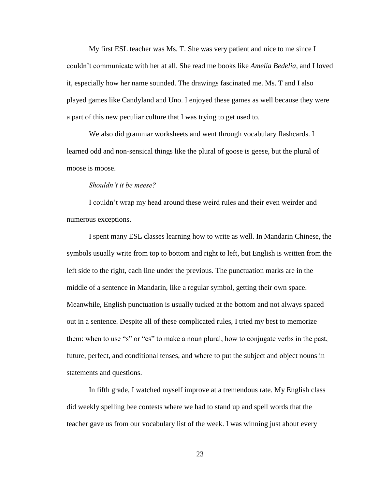My first ESL teacher was Ms. T. She was very patient and nice to me since I couldn't communicate with her at all. She read me books like *Amelia Bedelia*, and I loved it, especially how her name sounded. The drawings fascinated me. Ms. T and I also played games like Candyland and Uno. I enjoyed these games as well because they were a part of this new peculiar culture that I was trying to get used to.

We also did grammar worksheets and went through vocabulary flashcards. I learned odd and non-sensical things like the plural of goose is geese, but the plural of moose is moose.

## *Shouldn't it be meese?*

I couldn't wrap my head around these weird rules and their even weirder and numerous exceptions.

I spent many ESL classes learning how to write as well. In Mandarin Chinese, the symbols usually write from top to bottom and right to left, but English is written from the left side to the right, each line under the previous. The punctuation marks are in the middle of a sentence in Mandarin, like a regular symbol, getting their own space. Meanwhile, English punctuation is usually tucked at the bottom and not always spaced out in a sentence. Despite all of these complicated rules, I tried my best to memorize them: when to use "s" or "es" to make a noun plural, how to conjugate verbs in the past, future, perfect, and conditional tenses, and where to put the subject and object nouns in statements and questions.

In fifth grade, I watched myself improve at a tremendous rate. My English class did weekly spelling bee contests where we had to stand up and spell words that the teacher gave us from our vocabulary list of the week. I was winning just about every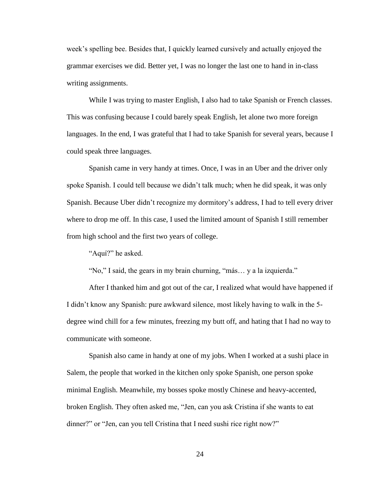week's spelling bee. Besides that, I quickly learned cursively and actually enjoyed the grammar exercises we did. Better yet, I was no longer the last one to hand in in-class writing assignments.

While I was trying to master English, I also had to take Spanish or French classes. This was confusing because I could barely speak English, let alone two more foreign languages. In the end, I was grateful that I had to take Spanish for several years, because I could speak three languages.

Spanish came in very handy at times. Once, I was in an Uber and the driver only spoke Spanish. I could tell because we didn't talk much; when he did speak, it was only Spanish. Because Uber didn't recognize my dormitory's address, I had to tell every driver where to drop me off. In this case, I used the limited amount of Spanish I still remember from high school and the first two years of college.

"Aquí?" he asked.

"No," I said, the gears in my brain churning, "más… y a la izquierda."

After I thanked him and got out of the car, I realized what would have happened if I didn't know any Spanish: pure awkward silence, most likely having to walk in the 5 degree wind chill for a few minutes, freezing my butt off, and hating that I had no way to communicate with someone.

Spanish also came in handy at one of my jobs. When I worked at a sushi place in Salem, the people that worked in the kitchen only spoke Spanish, one person spoke minimal English. Meanwhile, my bosses spoke mostly Chinese and heavy-accented, broken English. They often asked me, "Jen, can you ask Cristina if she wants to eat dinner?" or "Jen, can you tell Cristina that I need sushi rice right now?"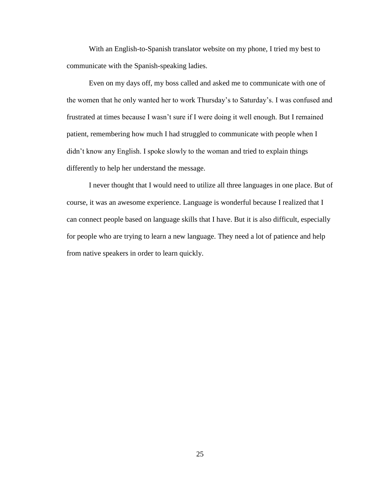With an English-to-Spanish translator website on my phone, I tried my best to communicate with the Spanish-speaking ladies.

Even on my days off, my boss called and asked me to communicate with one of the women that he only wanted her to work Thursday's to Saturday's. I was confused and frustrated at times because I wasn't sure if I were doing it well enough. But I remained patient, remembering how much I had struggled to communicate with people when I didn't know any English. I spoke slowly to the woman and tried to explain things differently to help her understand the message.

I never thought that I would need to utilize all three languages in one place. But of course, it was an awesome experience. Language is wonderful because I realized that I can connect people based on language skills that I have. But it is also difficult, especially for people who are trying to learn a new language. They need a lot of patience and help from native speakers in order to learn quickly.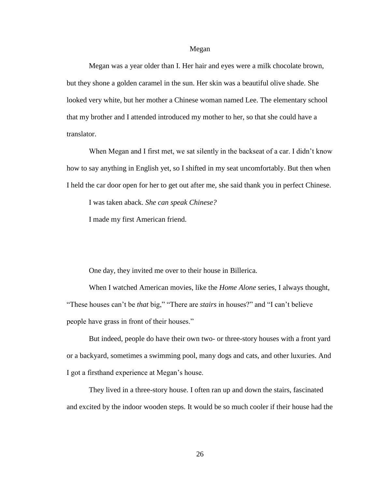#### Megan

Megan was a year older than I. Her hair and eyes were a milk chocolate brown, but they shone a golden caramel in the sun. Her skin was a beautiful olive shade. She looked very white, but her mother a Chinese woman named Lee. The elementary school that my brother and I attended introduced my mother to her, so that she could have a translator.

When Megan and I first met, we sat silently in the backseat of a car. I didn't know how to say anything in English yet, so I shifted in my seat uncomfortably. But then when I held the car door open for her to get out after me, she said thank you in perfect Chinese.

I was taken aback. *She can speak Chinese?* 

I made my first American friend.

One day, they invited me over to their house in Billerica.

When I watched American movies, like the *Home Alone* series, I always thought, "These houses can't be *that* big," "There are *stairs* in houses?" and "I can't believe people have grass in front of their houses."

But indeed, people do have their own two- or three-story houses with a front yard or a backyard, sometimes a swimming pool, many dogs and cats, and other luxuries. And I got a firsthand experience at Megan's house.

They lived in a three-story house. I often ran up and down the stairs, fascinated and excited by the indoor wooden steps. It would be so much cooler if their house had the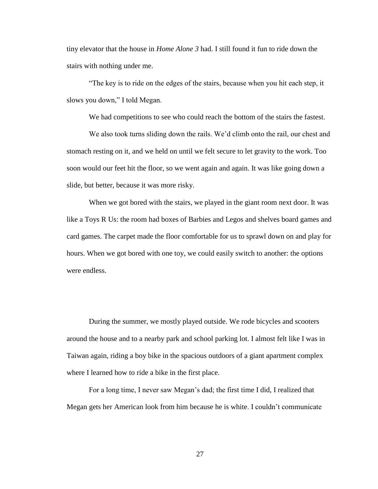tiny elevator that the house in *Home Alone 3* had. I still found it fun to ride down the stairs with nothing under me.

"The key is to ride on the edges of the stairs, because when you hit each step, it slows you down," I told Megan.

We had competitions to see who could reach the bottom of the stairs the fastest.

We also took turns sliding down the rails. We'd climb onto the rail, our chest and stomach resting on it, and we held on until we felt secure to let gravity to the work. Too soon would our feet hit the floor, so we went again and again. It was like going down a slide, but better, because it was more risky.

When we got bored with the stairs, we played in the giant room next door. It was like a Toys R Us: the room had boxes of Barbies and Legos and shelves board games and card games. The carpet made the floor comfortable for us to sprawl down on and play for hours. When we got bored with one toy, we could easily switch to another: the options were endless.

During the summer, we mostly played outside. We rode bicycles and scooters around the house and to a nearby park and school parking lot. I almost felt like I was in Taiwan again, riding a boy bike in the spacious outdoors of a giant apartment complex where I learned how to ride a bike in the first place.

For a long time, I never saw Megan's dad; the first time I did, I realized that Megan gets her American look from him because he is white. I couldn't communicate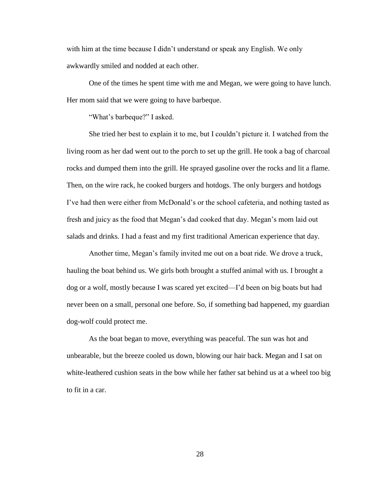with him at the time because I didn't understand or speak any English. We only awkwardly smiled and nodded at each other.

One of the times he spent time with me and Megan, we were going to have lunch. Her mom said that we were going to have barbeque.

"What's barbeque?" I asked.

She tried her best to explain it to me, but I couldn't picture it. I watched from the living room as her dad went out to the porch to set up the grill. He took a bag of charcoal rocks and dumped them into the grill. He sprayed gasoline over the rocks and lit a flame. Then, on the wire rack, he cooked burgers and hotdogs. The only burgers and hotdogs I've had then were either from McDonald's or the school cafeteria, and nothing tasted as fresh and juicy as the food that Megan's dad cooked that day. Megan's mom laid out salads and drinks. I had a feast and my first traditional American experience that day.

Another time, Megan's family invited me out on a boat ride. We drove a truck, hauling the boat behind us. We girls both brought a stuffed animal with us. I brought a dog or a wolf, mostly because I was scared yet excited—I'd been on big boats but had never been on a small, personal one before. So, if something bad happened, my guardian dog-wolf could protect me.

As the boat began to move, everything was peaceful. The sun was hot and unbearable, but the breeze cooled us down, blowing our hair back. Megan and I sat on white-leathered cushion seats in the bow while her father sat behind us at a wheel too big to fit in a car.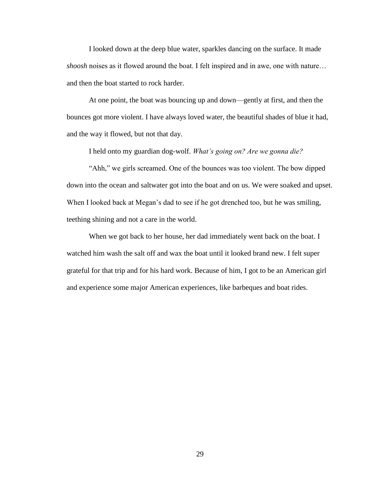I looked down at the deep blue water, sparkles dancing on the surface. It made *shoosh* noises as it flowed around the boat. I felt inspired and in awe, one with nature… and then the boat started to rock harder.

At one point, the boat was bouncing up and down—gently at first, and then the bounces got more violent. I have always loved water, the beautiful shades of blue it had, and the way it flowed, but not that day.

I held onto my guardian dog-wolf. *What's going on? Are we gonna die?* 

"Ahh," we girls screamed. One of the bounces was too violent. The bow dipped down into the ocean and saltwater got into the boat and on us. We were soaked and upset. When I looked back at Megan's dad to see if he got drenched too, but he was smiling, teething shining and not a care in the world.

When we got back to her house, her dad immediately went back on the boat. I watched him wash the salt off and wax the boat until it looked brand new. I felt super grateful for that trip and for his hard work. Because of him, I got to be an American girl and experience some major American experiences, like barbeques and boat rides.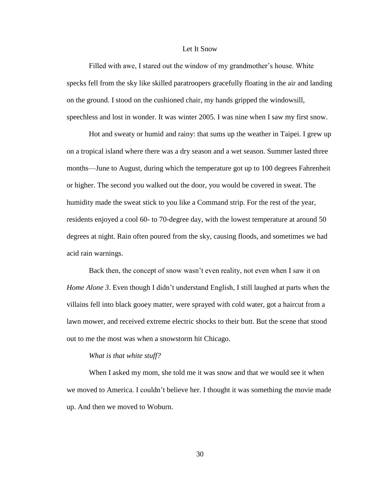## Let It Snow

Filled with awe, I stared out the window of my grandmother's house. White specks fell from the sky like skilled paratroopers gracefully floating in the air and landing on the ground. I stood on the cushioned chair, my hands gripped the windowsill, speechless and lost in wonder. It was winter 2005. I was nine when I saw my first snow.

Hot and sweaty or humid and rainy: that sums up the weather in Taipei. I grew up on a tropical island where there was a dry season and a wet season. Summer lasted three months—June to August, during which the temperature got up to 100 degrees Fahrenheit or higher. The second you walked out the door, you would be covered in sweat. The humidity made the sweat stick to you like a Command strip. For the rest of the year, residents enjoyed a cool 60- to 70-degree day, with the lowest temperature at around 50 degrees at night. Rain often poured from the sky, causing floods, and sometimes we had acid rain warnings.

Back then, the concept of snow wasn't even reality, not even when I saw it on *Home Alone 3*. Even though I didn't understand English, I still laughed at parts when the villains fell into black gooey matter, were sprayed with cold water, got a haircut from a lawn mower, and received extreme electric shocks to their butt. But the scene that stood out to me the most was when a snowstorm hit Chicago.

#### *What is that white stuff?*

When I asked my mom, she told me it was snow and that we would see it when we moved to America. I couldn't believe her. I thought it was something the movie made up. And then we moved to Woburn.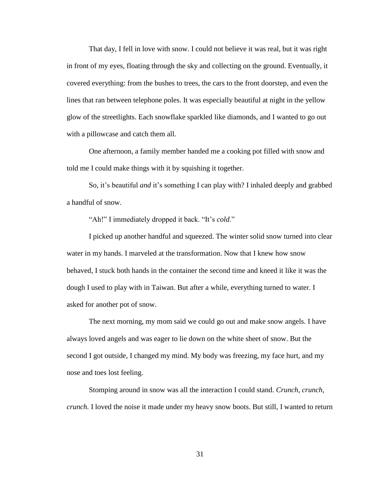That day, I fell in love with snow. I could not believe it was real, but it was right in front of my eyes, floating through the sky and collecting on the ground. Eventually, it covered everything: from the bushes to trees, the cars to the front doorstep, and even the lines that ran between telephone poles. It was especially beautiful at night in the yellow glow of the streetlights. Each snowflake sparkled like diamonds, and I wanted to go out with a pillowcase and catch them all.

One afternoon, a family member handed me a cooking pot filled with snow and told me I could make things with it by squishing it together.

So, it's beautiful *and* it's something I can play with? I inhaled deeply and grabbed a handful of snow.

"Ah!" I immediately dropped it back. "It's *cold*."

I picked up another handful and squeezed. The winter solid snow turned into clear water in my hands. I marveled at the transformation. Now that I knew how snow behaved, I stuck both hands in the container the second time and kneed it like it was the dough I used to play with in Taiwan. But after a while, everything turned to water. I asked for another pot of snow.

The next morning, my mom said we could go out and make snow angels. I have always loved angels and was eager to lie down on the white sheet of snow. But the second I got outside, I changed my mind. My body was freezing, my face hurt, and my nose and toes lost feeling.

Stomping around in snow was all the interaction I could stand. *Crunch, crunch, crunch.* I loved the noise it made under my heavy snow boots. But still, I wanted to return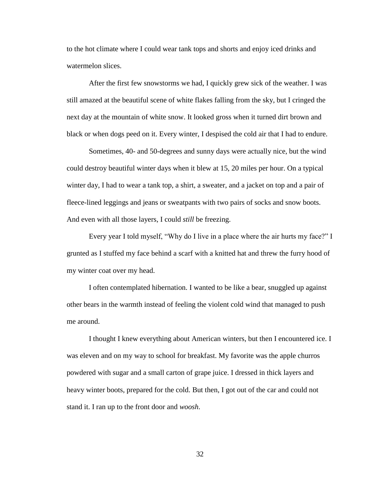to the hot climate where I could wear tank tops and shorts and enjoy iced drinks and watermelon slices.

After the first few snowstorms we had, I quickly grew sick of the weather. I was still amazed at the beautiful scene of white flakes falling from the sky, but I cringed the next day at the mountain of white snow. It looked gross when it turned dirt brown and black or when dogs peed on it. Every winter, I despised the cold air that I had to endure.

Sometimes, 40- and 50-degrees and sunny days were actually nice, but the wind could destroy beautiful winter days when it blew at 15, 20 miles per hour. On a typical winter day, I had to wear a tank top, a shirt, a sweater, and a jacket on top and a pair of fleece-lined leggings and jeans or sweatpants with two pairs of socks and snow boots. And even with all those layers, I could *still* be freezing.

Every year I told myself, "Why do I live in a place where the air hurts my face?" I grunted as I stuffed my face behind a scarf with a knitted hat and threw the furry hood of my winter coat over my head.

I often contemplated hibernation. I wanted to be like a bear, snuggled up against other bears in the warmth instead of feeling the violent cold wind that managed to push me around.

I thought I knew everything about American winters, but then I encountered ice. I was eleven and on my way to school for breakfast. My favorite was the apple churros powdered with sugar and a small carton of grape juice. I dressed in thick layers and heavy winter boots, prepared for the cold. But then, I got out of the car and could not stand it. I ran up to the front door and *woosh*.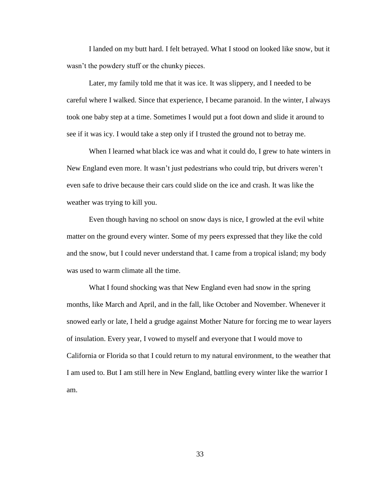I landed on my butt hard. I felt betrayed. What I stood on looked like snow, but it wasn't the powdery stuff or the chunky pieces.

Later, my family told me that it was ice. It was slippery, and I needed to be careful where I walked. Since that experience, I became paranoid. In the winter, I always took one baby step at a time. Sometimes I would put a foot down and slide it around to see if it was icy. I would take a step only if I trusted the ground not to betray me.

When I learned what black ice was and what it could do, I grew to hate winters in New England even more. It wasn't just pedestrians who could trip, but drivers weren't even safe to drive because their cars could slide on the ice and crash. It was like the weather was trying to kill you.

Even though having no school on snow days is nice, I growled at the evil white matter on the ground every winter. Some of my peers expressed that they like the cold and the snow, but I could never understand that. I came from a tropical island; my body was used to warm climate all the time.

What I found shocking was that New England even had snow in the spring months, like March and April, and in the fall, like October and November. Whenever it snowed early or late, I held a grudge against Mother Nature for forcing me to wear layers of insulation. Every year, I vowed to myself and everyone that I would move to California or Florida so that I could return to my natural environment, to the weather that I am used to. But I am still here in New England, battling every winter like the warrior I am.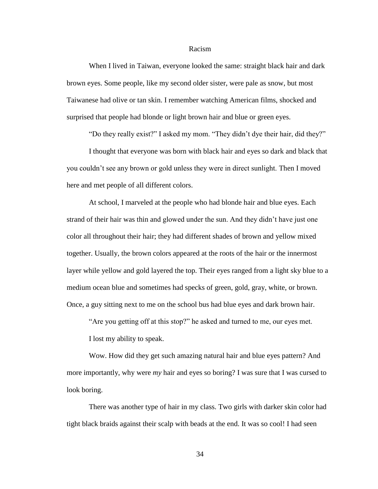#### Racism

When I lived in Taiwan, everyone looked the same: straight black hair and dark brown eyes. Some people, like my second older sister, were pale as snow, but most Taiwanese had olive or tan skin. I remember watching American films, shocked and surprised that people had blonde or light brown hair and blue or green eyes.

"Do they really exist?" I asked my mom. "They didn't dye their hair, did they?"

I thought that everyone was born with black hair and eyes so dark and black that you couldn't see any brown or gold unless they were in direct sunlight. Then I moved here and met people of all different colors.

At school, I marveled at the people who had blonde hair and blue eyes. Each strand of their hair was thin and glowed under the sun. And they didn't have just one color all throughout their hair; they had different shades of brown and yellow mixed together. Usually, the brown colors appeared at the roots of the hair or the innermost layer while yellow and gold layered the top. Their eyes ranged from a light sky blue to a medium ocean blue and sometimes had specks of green, gold, gray, white, or brown. Once, a guy sitting next to me on the school bus had blue eyes and dark brown hair.

"Are you getting off at this stop?" he asked and turned to me, our eyes met.

I lost my ability to speak.

Wow. How did they get such amazing natural hair and blue eyes pattern? And more importantly, why were *my* hair and eyes so boring? I was sure that I was cursed to look boring.

There was another type of hair in my class. Two girls with darker skin color had tight black braids against their scalp with beads at the end. It was so cool! I had seen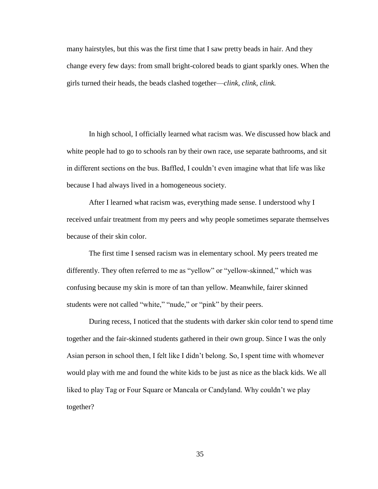many hairstyles, but this was the first time that I saw pretty beads in hair. And they change every few days: from small bright-colored beads to giant sparkly ones. When the girls turned their heads, the beads clashed together—*clink, clink, clink.*

In high school, I officially learned what racism was. We discussed how black and white people had to go to schools ran by their own race, use separate bathrooms, and sit in different sections on the bus. Baffled, I couldn't even imagine what that life was like because I had always lived in a homogeneous society.

After I learned what racism was, everything made sense. I understood why I received unfair treatment from my peers and why people sometimes separate themselves because of their skin color.

The first time I sensed racism was in elementary school. My peers treated me differently. They often referred to me as "yellow" or "yellow-skinned," which was confusing because my skin is more of tan than yellow. Meanwhile, fairer skinned students were not called "white," "nude," or "pink" by their peers.

During recess, I noticed that the students with darker skin color tend to spend time together and the fair-skinned students gathered in their own group. Since I was the only Asian person in school then, I felt like I didn't belong. So, I spent time with whomever would play with me and found the white kids to be just as nice as the black kids. We all liked to play Tag or Four Square or Mancala or Candyland. Why couldn't we play together?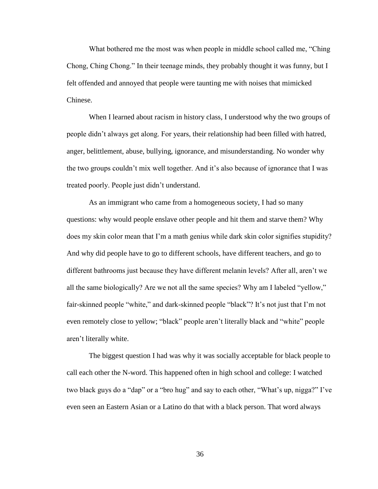What bothered me the most was when people in middle school called me, "Ching" Chong, Ching Chong." In their teenage minds, they probably thought it was funny, but I felt offended and annoyed that people were taunting me with noises that mimicked Chinese.

When I learned about racism in history class, I understood why the two groups of people didn't always get along. For years, their relationship had been filled with hatred, anger, belittlement, abuse, bullying, ignorance, and misunderstanding. No wonder why the two groups couldn't mix well together. And it's also because of ignorance that I was treated poorly. People just didn't understand.

As an immigrant who came from a homogeneous society, I had so many questions: why would people enslave other people and hit them and starve them? Why does my skin color mean that I'm a math genius while dark skin color signifies stupidity? And why did people have to go to different schools, have different teachers, and go to different bathrooms just because they have different melanin levels? After all, aren't we all the same biologically? Are we not all the same species? Why am I labeled "yellow," fair-skinned people "white," and dark-skinned people "black"? It's not just that I'm not even remotely close to yellow; "black" people aren't literally black and "white" people aren't literally white.

The biggest question I had was why it was socially acceptable for black people to call each other the N-word. This happened often in high school and college: I watched two black guys do a "dap" or a "bro hug" and say to each other, "What's up, nigga?" I've even seen an Eastern Asian or a Latino do that with a black person. That word always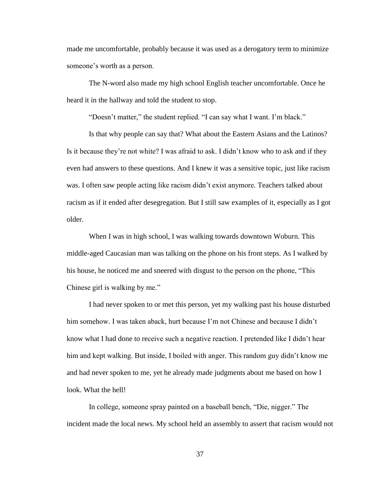made me uncomfortable, probably because it was used as a derogatory term to minimize someone's worth as a person.

The N-word also made my high school English teacher uncomfortable. Once he heard it in the hallway and told the student to stop.

"Doesn't matter," the student replied. "I can say what I want. I'm black."

Is that why people can say that? What about the Eastern Asians and the Latinos? Is it because they're not white? I was afraid to ask. I didn't know who to ask and if they even had answers to these questions. And I knew it was a sensitive topic, just like racism was. I often saw people acting like racism didn't exist anymore. Teachers talked about racism as if it ended after desegregation. But I still saw examples of it, especially as I got older.

When I was in high school, I was walking towards downtown Woburn. This middle-aged Caucasian man was talking on the phone on his front steps. As I walked by his house, he noticed me and sneered with disgust to the person on the phone, "This Chinese girl is walking by me."

I had never spoken to or met this person, yet my walking past his house disturbed him somehow. I was taken aback, hurt because I'm not Chinese and because I didn't know what I had done to receive such a negative reaction. I pretended like I didn't hear him and kept walking. But inside, I boiled with anger. This random guy didn't know me and had never spoken to me, yet he already made judgments about me based on how I look. What the hell!

In college, someone spray painted on a baseball bench, "Die, nigger." The incident made the local news. My school held an assembly to assert that racism would not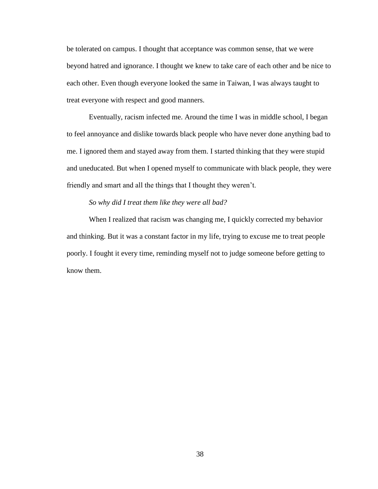be tolerated on campus. I thought that acceptance was common sense, that we were beyond hatred and ignorance. I thought we knew to take care of each other and be nice to each other. Even though everyone looked the same in Taiwan, I was always taught to treat everyone with respect and good manners.

Eventually, racism infected me. Around the time I was in middle school, I began to feel annoyance and dislike towards black people who have never done anything bad to me. I ignored them and stayed away from them. I started thinking that they were stupid and uneducated. But when I opened myself to communicate with black people, they were friendly and smart and all the things that I thought they weren't.

## *So why did I treat them like they were all bad?*

When I realized that racism was changing me, I quickly corrected my behavior and thinking. But it was a constant factor in my life, trying to excuse me to treat people poorly. I fought it every time, reminding myself not to judge someone before getting to know them.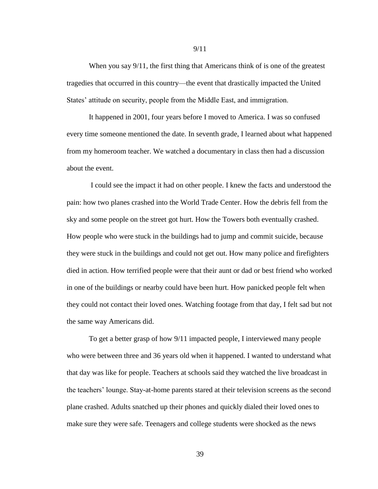When you say  $9/11$ , the first thing that Americans think of is one of the greatest tragedies that occurred in this country—the event that drastically impacted the United States' attitude on security, people from the Middle East, and immigration.

It happened in 2001, four years before I moved to America. I was so confused every time someone mentioned the date. In seventh grade, I learned about what happened from my homeroom teacher. We watched a documentary in class then had a discussion about the event.

I could see the impact it had on other people. I knew the facts and understood the pain: how two planes crashed into the World Trade Center. How the debris fell from the sky and some people on the street got hurt. How the Towers both eventually crashed. How people who were stuck in the buildings had to jump and commit suicide, because they were stuck in the buildings and could not get out. How many police and firefighters died in action. How terrified people were that their aunt or dad or best friend who worked in one of the buildings or nearby could have been hurt. How panicked people felt when they could not contact their loved ones. Watching footage from that day, I felt sad but not the same way Americans did.

To get a better grasp of how 9/11 impacted people, I interviewed many people who were between three and 36 years old when it happened. I wanted to understand what that day was like for people. Teachers at schools said they watched the live broadcast in the teachers' lounge. Stay-at-home parents stared at their television screens as the second plane crashed. Adults snatched up their phones and quickly dialed their loved ones to make sure they were safe. Teenagers and college students were shocked as the news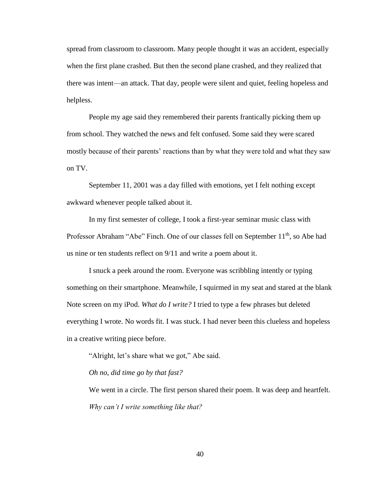spread from classroom to classroom. Many people thought it was an accident, especially when the first plane crashed. But then the second plane crashed, and they realized that there was intent—an attack. That day, people were silent and quiet, feeling hopeless and helpless.

People my age said they remembered their parents frantically picking them up from school. They watched the news and felt confused. Some said they were scared mostly because of their parents' reactions than by what they were told and what they saw on TV.

September 11, 2001 was a day filled with emotions, yet I felt nothing except awkward whenever people talked about it.

In my first semester of college, I took a first-year seminar music class with Professor Abraham "Abe" Finch. One of our classes fell on September 11<sup>th</sup>, so Abe had us nine or ten students reflect on 9/11 and write a poem about it.

I snuck a peek around the room. Everyone was scribbling intently or typing something on their smartphone. Meanwhile, I squirmed in my seat and stared at the blank Note screen on my iPod. *What do I write?* I tried to type a few phrases but deleted everything I wrote. No words fit. I was stuck. I had never been this clueless and hopeless in a creative writing piece before.

"Alright, let's share what we got," Abe said.

*Oh no, did time go by that fast?*

We went in a circle. The first person shared their poem. It was deep and heartfelt. *Why can't I write something like that?*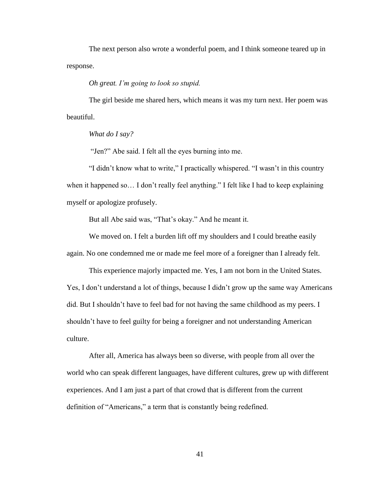The next person also wrote a wonderful poem, and I think someone teared up in response.

*Oh great. I'm going to look so stupid.* 

The girl beside me shared hers, which means it was my turn next. Her poem was beautiful.

*What do I say?*

"Jen?" Abe said. I felt all the eyes burning into me.

"I didn't know what to write," I practically whispered. "I wasn't in this country when it happened so... I don't really feel anything." I felt like I had to keep explaining myself or apologize profusely.

But all Abe said was, "That's okay." And he meant it.

We moved on. I felt a burden lift off my shoulders and I could breathe easily again. No one condemned me or made me feel more of a foreigner than I already felt.

This experience majorly impacted me. Yes, I am not born in the United States. Yes, I don't understand a lot of things, because I didn't grow up the same way Americans did. But I shouldn't have to feel bad for not having the same childhood as my peers. I shouldn't have to feel guilty for being a foreigner and not understanding American culture.

After all, America has always been so diverse, with people from all over the world who can speak different languages, have different cultures, grew up with different experiences. And I am just a part of that crowd that is different from the current definition of "Americans," a term that is constantly being redefined.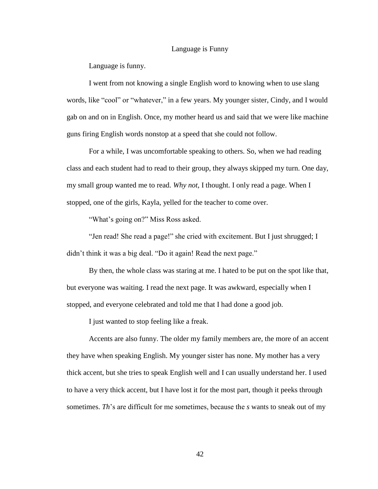#### Language is Funny

Language is funny.

I went from not knowing a single English word to knowing when to use slang words, like "cool" or "whatever," in a few years. My younger sister, Cindy, and I would gab on and on in English. Once, my mother heard us and said that we were like machine guns firing English words nonstop at a speed that she could not follow.

For a while, I was uncomfortable speaking to others. So, when we had reading class and each student had to read to their group, they always skipped my turn. One day, my small group wanted me to read. *Why not*, I thought. I only read a page. When I stopped, one of the girls, Kayla, yelled for the teacher to come over.

"What's going on?" Miss Ross asked.

"Jen read! She read a page!" she cried with excitement. But I just shrugged; I didn't think it was a big deal. "Do it again! Read the next page."

By then, the whole class was staring at me. I hated to be put on the spot like that, but everyone was waiting. I read the next page. It was awkward, especially when I stopped, and everyone celebrated and told me that I had done a good job.

I just wanted to stop feeling like a freak.

Accents are also funny. The older my family members are, the more of an accent they have when speaking English. My younger sister has none. My mother has a very thick accent, but she tries to speak English well and I can usually understand her. I used to have a very thick accent, but I have lost it for the most part, though it peeks through sometimes. *Th*'s are difficult for me sometimes, because the *s* wants to sneak out of my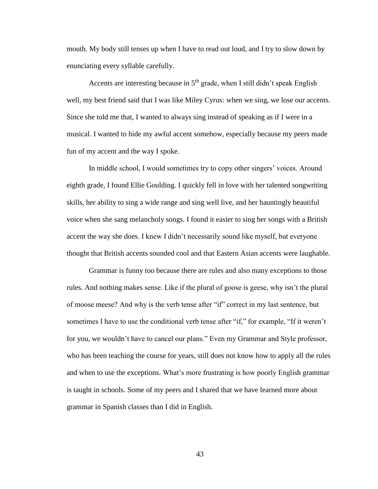mouth. My body still tenses up when I have to read out loud, and I try to slow down by enunciating every syllable carefully.

Accents are interesting because in  $5<sup>th</sup>$  grade, when I still didn't speak English well, my best friend said that I was like Miley Cyrus: when we sing, we lose our accents. Since she told me that, I wanted to always sing instead of speaking as if I were in a musical. I wanted to hide my awful accent somehow, especially because my peers made fun of my accent and the way I spoke.

In middle school, I would sometimes try to copy other singers' voices. Around eighth grade, I found Ellie Goulding. I quickly fell in love with her talented songwriting skills, her ability to sing a wide range and sing well live, and her hauntingly beautiful voice when she sang melancholy songs. I found it easier to sing her songs with a British accent the way she does. I knew I didn't necessarily sound like myself, but everyone thought that British accents sounded cool and that Eastern Asian accents were laughable.

Grammar is funny too because there are rules and also many exceptions to those rules. And nothing makes sense. Like if the plural of goose is geese, why isn't the plural of moose meese? And why is the verb tense after "if" correct in my last sentence, but sometimes I have to use the conditional verb tense after "if," for example, "If it weren't for you, we wouldn't have to cancel our plans." Even my Grammar and Style professor, who has been teaching the course for years, still does not know how to apply all the rules and when to use the exceptions. What's more frustrating is how poorly English grammar is taught in schools. Some of my peers and I shared that we have learned more about grammar in Spanish classes than I did in English.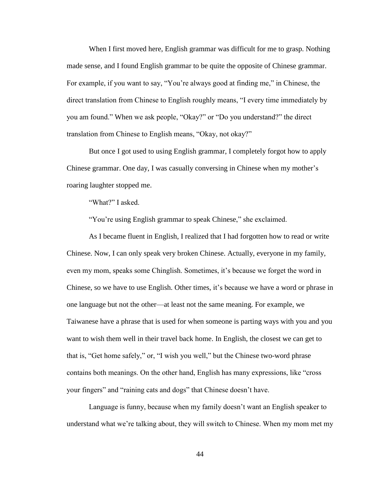When I first moved here, English grammar was difficult for me to grasp. Nothing made sense, and I found English grammar to be quite the opposite of Chinese grammar. For example, if you want to say, "You're always good at finding me," in Chinese, the direct translation from Chinese to English roughly means, "I every time immediately by you am found." When we ask people, "Okay?" or "Do you understand?" the direct translation from Chinese to English means, "Okay, not okay?"

But once I got used to using English grammar, I completely forgot how to apply Chinese grammar. One day, I was casually conversing in Chinese when my mother's roaring laughter stopped me.

"What?" I asked.

"You're using English grammar to speak Chinese," she exclaimed.

As I became fluent in English, I realized that I had forgotten how to read or write Chinese. Now, I can only speak very broken Chinese. Actually, everyone in my family, even my mom, speaks some Chinglish. Sometimes, it's because we forget the word in Chinese, so we have to use English. Other times, it's because we have a word or phrase in one language but not the other—at least not the same meaning. For example, we Taiwanese have a phrase that is used for when someone is parting ways with you and you want to wish them well in their travel back home. In English, the closest we can get to that is, "Get home safely," or, "I wish you well," but the Chinese two-word phrase contains both meanings. On the other hand, English has many expressions, like "cross your fingers" and "raining cats and dogs" that Chinese doesn't have.

Language is funny, because when my family doesn't want an English speaker to understand what we're talking about, they will switch to Chinese. When my mom met my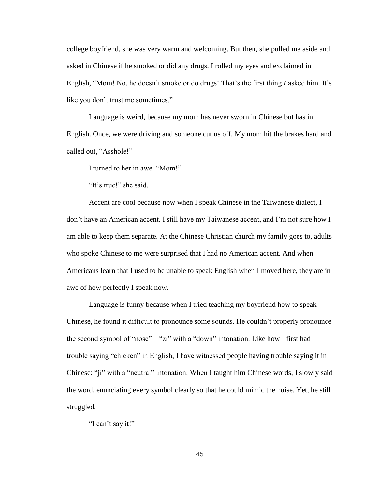college boyfriend, she was very warm and welcoming. But then, she pulled me aside and asked in Chinese if he smoked or did any drugs. I rolled my eyes and exclaimed in English, "Mom! No, he doesn't smoke or do drugs! That's the first thing *I* asked him. It's like you don't trust me sometimes."

Language is weird, because my mom has never sworn in Chinese but has in English. Once, we were driving and someone cut us off. My mom hit the brakes hard and called out, "Asshole!"

I turned to her in awe. "Mom!"

"It's true!" she said.

Accent are cool because now when I speak Chinese in the Taiwanese dialect, I don't have an American accent. I still have my Taiwanese accent, and I'm not sure how I am able to keep them separate. At the Chinese Christian church my family goes to, adults who spoke Chinese to me were surprised that I had no American accent. And when Americans learn that I used to be unable to speak English when I moved here, they are in awe of how perfectly I speak now.

Language is funny because when I tried teaching my boyfriend how to speak Chinese, he found it difficult to pronounce some sounds. He couldn't properly pronounce the second symbol of "nose"—"zi" with a "down" intonation. Like how I first had trouble saying "chicken" in English, I have witnessed people having trouble saying it in Chinese: "ji" with a "neutral" intonation. When I taught him Chinese words, I slowly said the word, enunciating every symbol clearly so that he could mimic the noise. Yet, he still struggled.

"I can't say it!"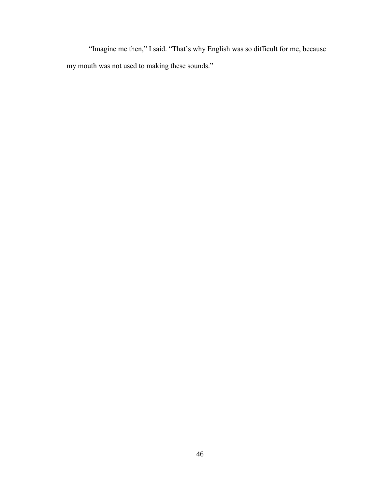"Imagine me then," I said. "That's why English was so difficult for me, because my mouth was not used to making these sounds."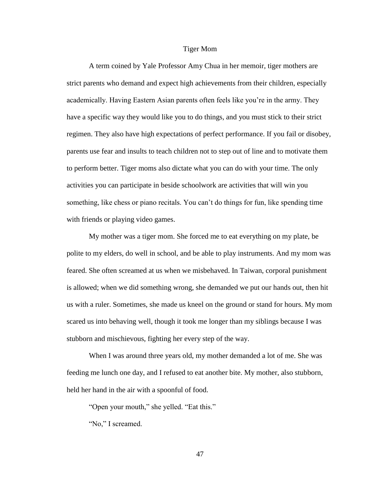#### Tiger Mom

A term coined by Yale Professor Amy Chua in her memoir, tiger mothers are strict parents who demand and expect high achievements from their children, especially academically. Having Eastern Asian parents often feels like you're in the army. They have a specific way they would like you to do things, and you must stick to their strict regimen. They also have high expectations of perfect performance. If you fail or disobey, parents use fear and insults to teach children not to step out of line and to motivate them to perform better. Tiger moms also dictate what you can do with your time. The only activities you can participate in beside schoolwork are activities that will win you something, like chess or piano recitals. You can't do things for fun, like spending time with friends or playing video games.

My mother was a tiger mom. She forced me to eat everything on my plate, be polite to my elders, do well in school, and be able to play instruments. And my mom was feared. She often screamed at us when we misbehaved. In Taiwan, corporal punishment is allowed; when we did something wrong, she demanded we put our hands out, then hit us with a ruler. Sometimes, she made us kneel on the ground or stand for hours. My mom scared us into behaving well, though it took me longer than my siblings because I was stubborn and mischievous, fighting her every step of the way.

When I was around three years old, my mother demanded a lot of me. She was feeding me lunch one day, and I refused to eat another bite. My mother, also stubborn, held her hand in the air with a spoonful of food.

"Open your mouth," she yelled. "Eat this."

"No," I screamed.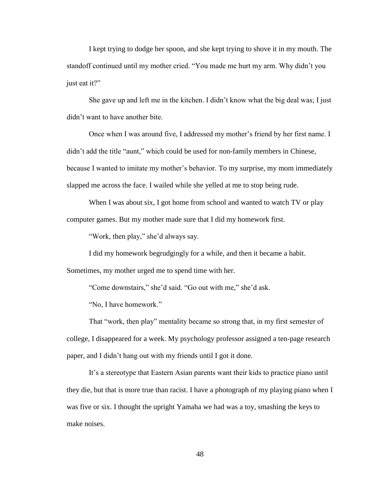I kept trying to dodge her spoon, and she kept trying to shove it in my mouth. The standoff continued until my mother cried. "You made me hurt my arm. Why didn't you just eat it?"

She gave up and left me in the kitchen. I didn't know what the big deal was; I just didn't want to have another bite.

Once when I was around five, I addressed my mother's friend by her first name. I didn't add the title "aunt," which could be used for non-family members in Chinese, because I wanted to imitate my mother's behavior. To my surprise, my mom immediately slapped me across the face. I wailed while she yelled at me to stop being rude.

When I was about six, I got home from school and wanted to watch TV or play computer games. But my mother made sure that I did my homework first.

"Work, then play," she'd always say.

I did my homework begrudgingly for a while, and then it became a habit.

Sometimes, my mother urged me to spend time with her.

"Come downstairs," she'd said. "Go out with me," she'd ask.

"No, I have homework."

That "work, then play" mentality became so strong that, in my first semester of college, I disappeared for a week. My psychology professor assigned a ten-page research paper, and I didn't hang out with my friends until I got it done.

It's a stereotype that Eastern Asian parents want their kids to practice piano until they die, but that is more true than racist. I have a photograph of my playing piano when I was five or six. I thought the upright Yamaha we had was a toy, smashing the keys to make noises.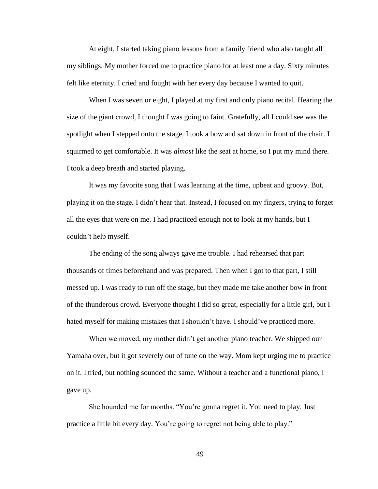At eight, I started taking piano lessons from a family friend who also taught all my siblings. My mother forced me to practice piano for at least one a day. Sixty minutes felt like eternity. I cried and fought with her every day because I wanted to quit.

When I was seven or eight, I played at my first and only piano recital. Hearing the size of the giant crowd, I thought I was going to faint. Gratefully, all I could see was the spotlight when I stepped onto the stage. I took a bow and sat down in front of the chair. I squirmed to get comfortable. It was *almost* like the seat at home, so I put my mind there. I took a deep breath and started playing.

It was my favorite song that I was learning at the time, upbeat and groovy. But, playing it on the stage, I didn't hear that. Instead, I focused on my fingers, trying to forget all the eyes that were on me. I had practiced enough not to look at my hands, but I couldn't help myself.

The ending of the song always gave me trouble. I had rehearsed that part thousands of times beforehand and was prepared. Then when I got to that part, I still messed up. I was ready to run off the stage, but they made me take another bow in front of the thunderous crowd. Everyone thought I did so great, especially for a little girl, but I hated myself for making mistakes that I shouldn't have. I should've practiced more.

When we moved, my mother didn't get another piano teacher. We shipped our Yamaha over, but it got severely out of tune on the way. Mom kept urging me to practice on it. I tried, but nothing sounded the same. Without a teacher and a functional piano, I gave up.

She hounded me for months. "You're gonna regret it. You need to play. Just practice a little bit every day. You're going to regret not being able to play."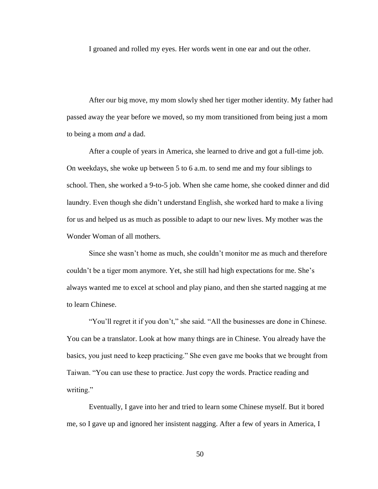I groaned and rolled my eyes. Her words went in one ear and out the other.

After our big move, my mom slowly shed her tiger mother identity. My father had passed away the year before we moved, so my mom transitioned from being just a mom to being a mom *and* a dad.

After a couple of years in America, she learned to drive and got a full-time job. On weekdays, she woke up between 5 to 6 a.m. to send me and my four siblings to school. Then, she worked a 9-to-5 job. When she came home, she cooked dinner and did laundry. Even though she didn't understand English, she worked hard to make a living for us and helped us as much as possible to adapt to our new lives. My mother was the Wonder Woman of all mothers.

Since she wasn't home as much, she couldn't monitor me as much and therefore couldn't be a tiger mom anymore. Yet, she still had high expectations for me. She's always wanted me to excel at school and play piano, and then she started nagging at me to learn Chinese.

"You'll regret it if you don't," she said. "All the businesses are done in Chinese. You can be a translator. Look at how many things are in Chinese. You already have the basics, you just need to keep practicing." She even gave me books that we brought from Taiwan. "You can use these to practice. Just copy the words. Practice reading and writing."

Eventually, I gave into her and tried to learn some Chinese myself. But it bored me, so I gave up and ignored her insistent nagging. After a few of years in America, I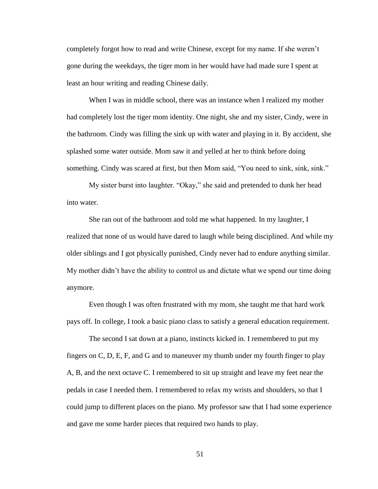completely forgot how to read and write Chinese, except for my name. If she weren't gone during the weekdays, the tiger mom in her would have had made sure I spent at least an hour writing and reading Chinese daily.

When I was in middle school, there was an instance when I realized my mother had completely lost the tiger mom identity. One night, she and my sister, Cindy, were in the bathroom. Cindy was filling the sink up with water and playing in it. By accident, she splashed some water outside. Mom saw it and yelled at her to think before doing something. Cindy was scared at first, but then Mom said, "You need to sink, sink, sink."

My sister burst into laughter. "Okay," she said and pretended to dunk her head into water.

She ran out of the bathroom and told me what happened. In my laughter, I realized that none of us would have dared to laugh while being disciplined. And while my older siblings and I got physically punished, Cindy never had to endure anything similar. My mother didn't have the ability to control us and dictate what we spend our time doing anymore.

Even though I was often frustrated with my mom, she taught me that hard work pays off. In college, I took a basic piano class to satisfy a general education requirement.

The second I sat down at a piano, instincts kicked in. I remembered to put my fingers on C, D, E, F, and G and to maneuver my thumb under my fourth finger to play A, B, and the next octave C. I remembered to sit up straight and leave my feet near the pedals in case I needed them. I remembered to relax my wrists and shoulders, so that I could jump to different places on the piano. My professor saw that I had some experience and gave me some harder pieces that required two hands to play.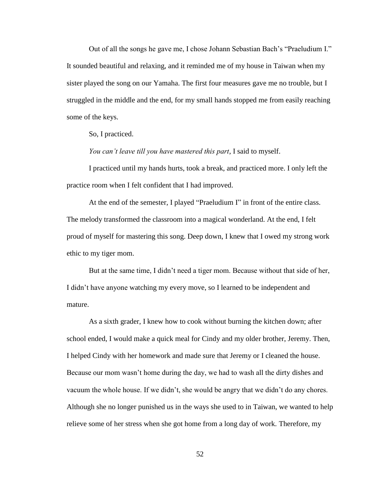Out of all the songs he gave me, I chose Johann Sebastian Bach's "Praeludium I." It sounded beautiful and relaxing, and it reminded me of my house in Taiwan when my sister played the song on our Yamaha. The first four measures gave me no trouble, but I struggled in the middle and the end, for my small hands stopped me from easily reaching some of the keys.

So, I practiced.

*You can't leave till you have mastered this part*, I said to myself.

I practiced until my hands hurts, took a break, and practiced more. I only left the practice room when I felt confident that I had improved.

At the end of the semester, I played "Praeludium I" in front of the entire class. The melody transformed the classroom into a magical wonderland. At the end, I felt proud of myself for mastering this song. Deep down, I knew that I owed my strong work ethic to my tiger mom.

But at the same time, I didn't need a tiger mom. Because without that side of her, I didn't have anyone watching my every move, so I learned to be independent and mature.

As a sixth grader, I knew how to cook without burning the kitchen down; after school ended, I would make a quick meal for Cindy and my older brother, Jeremy. Then, I helped Cindy with her homework and made sure that Jeremy or I cleaned the house. Because our mom wasn't home during the day, we had to wash all the dirty dishes and vacuum the whole house. If we didn't, she would be angry that we didn't do any chores. Although she no longer punished us in the ways she used to in Taiwan, we wanted to help relieve some of her stress when she got home from a long day of work. Therefore, my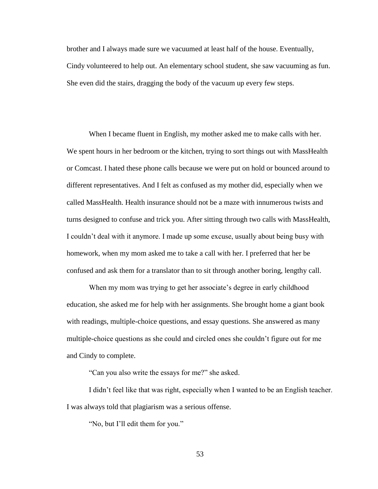brother and I always made sure we vacuumed at least half of the house. Eventually, Cindy volunteered to help out. An elementary school student, she saw vacuuming as fun. She even did the stairs, dragging the body of the vacuum up every few steps.

When I became fluent in English, my mother asked me to make calls with her. We spent hours in her bedroom or the kitchen, trying to sort things out with MassHealth or Comcast. I hated these phone calls because we were put on hold or bounced around to different representatives. And I felt as confused as my mother did, especially when we called MassHealth. Health insurance should not be a maze with innumerous twists and turns designed to confuse and trick you. After sitting through two calls with MassHealth, I couldn't deal with it anymore. I made up some excuse, usually about being busy with homework, when my mom asked me to take a call with her. I preferred that her be confused and ask them for a translator than to sit through another boring, lengthy call.

When my mom was trying to get her associate's degree in early childhood education, she asked me for help with her assignments. She brought home a giant book with readings, multiple-choice questions, and essay questions. She answered as many multiple-choice questions as she could and circled ones she couldn't figure out for me and Cindy to complete.

"Can you also write the essays for me?" she asked.

I didn't feel like that was right, especially when I wanted to be an English teacher. I was always told that plagiarism was a serious offense.

"No, but I'll edit them for you."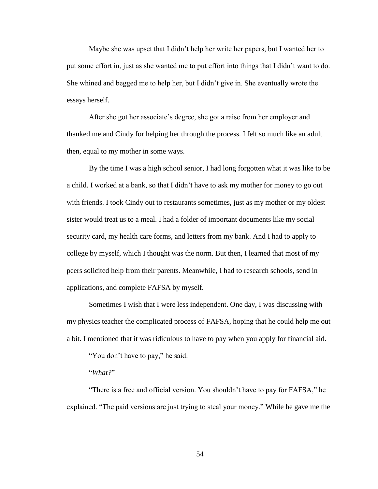Maybe she was upset that I didn't help her write her papers, but I wanted her to put some effort in, just as she wanted me to put effort into things that I didn't want to do. She whined and begged me to help her, but I didn't give in. She eventually wrote the essays herself.

After she got her associate's degree, she got a raise from her employer and thanked me and Cindy for helping her through the process. I felt so much like an adult then, equal to my mother in some ways.

By the time I was a high school senior, I had long forgotten what it was like to be a child. I worked at a bank, so that I didn't have to ask my mother for money to go out with friends. I took Cindy out to restaurants sometimes, just as my mother or my oldest sister would treat us to a meal. I had a folder of important documents like my social security card, my health care forms, and letters from my bank. And I had to apply to college by myself, which I thought was the norm. But then, I learned that most of my peers solicited help from their parents. Meanwhile, I had to research schools, send in applications, and complete FAFSA by myself.

Sometimes I wish that I were less independent. One day, I was discussing with my physics teacher the complicated process of FAFSA, hoping that he could help me out a bit. I mentioned that it was ridiculous to have to pay when you apply for financial aid.

"You don't have to pay," he said.

"*What?*"

"There is a free and official version. You shouldn't have to pay for FAFSA," he explained. "The paid versions are just trying to steal your money." While he gave me the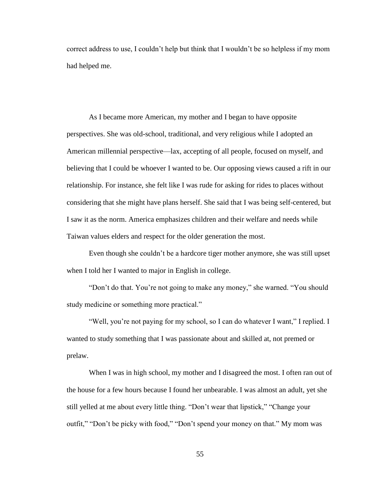correct address to use, I couldn't help but think that I wouldn't be so helpless if my mom had helped me.

As I became more American, my mother and I began to have opposite perspectives. She was old-school, traditional, and very religious while I adopted an American millennial perspective—lax, accepting of all people, focused on myself, and believing that I could be whoever I wanted to be. Our opposing views caused a rift in our relationship. For instance, she felt like I was rude for asking for rides to places without considering that she might have plans herself. She said that I was being self-centered, but I saw it as the norm. America emphasizes children and their welfare and needs while Taiwan values elders and respect for the older generation the most.

Even though she couldn't be a hardcore tiger mother anymore, she was still upset when I told her I wanted to major in English in college.

"Don't do that. You're not going to make any money," she warned. "You should study medicine or something more practical."

"Well, you're not paying for my school, so I can do whatever I want," I replied. I wanted to study something that I was passionate about and skilled at, not premed or prelaw.

When I was in high school, my mother and I disagreed the most. I often ran out of the house for a few hours because I found her unbearable. I was almost an adult, yet she still yelled at me about every little thing. "Don't wear that lipstick," "Change your outfit," "Don't be picky with food," "Don't spend your money on that." My mom was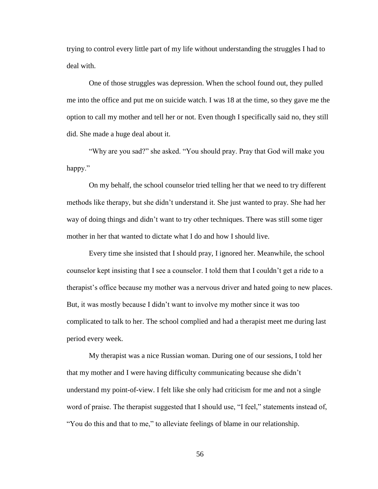trying to control every little part of my life without understanding the struggles I had to deal with.

One of those struggles was depression. When the school found out, they pulled me into the office and put me on suicide watch. I was 18 at the time, so they gave me the option to call my mother and tell her or not. Even though I specifically said no, they still did. She made a huge deal about it.

"Why are you sad?" she asked. "You should pray. Pray that God will make you happy."

On my behalf, the school counselor tried telling her that we need to try different methods like therapy, but she didn't understand it. She just wanted to pray. She had her way of doing things and didn't want to try other techniques. There was still some tiger mother in her that wanted to dictate what I do and how I should live.

Every time she insisted that I should pray, I ignored her. Meanwhile, the school counselor kept insisting that I see a counselor. I told them that I couldn't get a ride to a therapist's office because my mother was a nervous driver and hated going to new places. But, it was mostly because I didn't want to involve my mother since it was too complicated to talk to her. The school complied and had a therapist meet me during last period every week.

My therapist was a nice Russian woman. During one of our sessions, I told her that my mother and I were having difficulty communicating because she didn't understand my point-of-view. I felt like she only had criticism for me and not a single word of praise. The therapist suggested that I should use, "I feel," statements instead of, "You do this and that to me," to alleviate feelings of blame in our relationship.